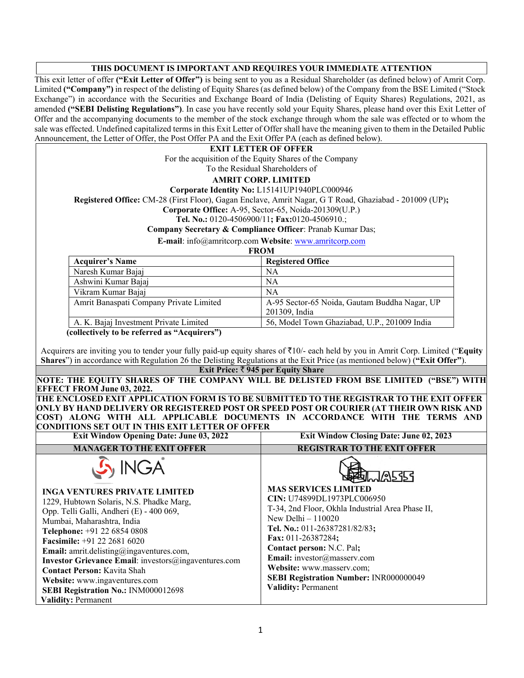#### **THIS DOCUMENT IS IMPORTANT AND REQUIRES YOUR IMMEDIATE ATTENTION**

This exit letter of offer **("Exit Letter of Offer")** is being sent to you as a Residual Shareholder (as defined below) of Amrit Corp. Limited **("Company")** in respect of the delisting of Equity Shares (as defined below) of the Company from the BSE Limited ("Stock Exchange") in accordance with the Securities and Exchange Board of India (Delisting of Equity Shares) Regulations, 2021, as amended **("SEBI Delisting Regulations")**. In case you have recently sold your Equity Shares, please hand over this Exit Letter of Offer and the accompanying documents to the member of the stock exchange through whom the sale was effected or to whom the sale was effected. Undefined capitalized terms in this Exit Letter of Offer shall have the meaning given to them in the Detailed Public Announcement, the Letter of Offer, the Post Offer PA and the Exit Offer PA (each as defined below).

#### **EXIT LETTER OF OFFER**

For the acquisition of the Equity Shares of the Company To the Residual Shareholders of

### **AMRIT CORP. LIMITED**

**Corporate Identity No:** L15141UP1940PLC000946

**Registered Office:** CM-28 (First Floor), Gagan Enclave, Amrit Nagar, G T Road, Ghaziabad - 201009 (UP)**;** 

**Corporate Office:** A-95, Sector-65, Noida-201309(U.P.)

**Tel. No.:** 0120-4506900/11**; Fax:**0120-4506910.;

**Company Secretary & Compliance Officer**: Pranab Kumar Das;

**E-mail**: info@amritcorp.com **Website**: www.amritcorp.com

**FROM** 

| <b>Acquirer's Name</b>                      | <b>Registered Office</b>                      |
|---------------------------------------------|-----------------------------------------------|
| Naresh Kumar Bajaj                          | <b>NA</b>                                     |
| Ashwini Kumar Bajaj                         | <b>NA</b>                                     |
| Vikram Kumar Bajaj                          | <b>NA</b>                                     |
| Amrit Banaspati Company Private Limited     | A-95 Sector-65 Noida, Gautam Buddha Nagar, UP |
|                                             | 201309, India                                 |
| A. K. Bajaj Investment Private Limited      | 56, Model Town Ghaziabad, U.P., 201009 India  |
| collectively to be referred as "Acquirers") |                                               |

**(collectively to be referred as "Acquirers")** 

Acquirers are inviting you to tender your fully paid-up equity shares of `10/- each held by you in Amrit Corp. Limited ("**Equity Shares**") in accordance with Regulation 26 the Delisting Regulations at the Exit Price (as mentioned below) (**"Exit Offer"**).

#### **Exit Price:** ` **945 per Equity Share**

**NOTE: THE EQUITY SHARES OF THE COMPANY WILL BE DELISTED FROM BSE LIMITED ("BSE") WITH EFFECT FROM June 03, 2022.** 

**THE ENCLOSED EXIT APPLICATION FORM IS TO BE SUBMITTED TO THE REGISTRAR TO THE EXIT OFFER ONLY BY HAND DELIVERY OR REGISTERED POST OR SPEED POST OR COURIER (AT THEIR OWN RISK AND COST) ALONG WITH ALL APPLICABLE DOCUMENTS IN ACCORDANCE WITH THE TERMS AND CONDITIONS SET OUT IN THIS EXIT LETTER OF OFFER Exit Window Opening Date: June 03, 2022 Exit Window Closing Date: June 02, 2023**

| <b>EXIL WINGOW Opening Date. June 03, 2022</b>                                                                                                                                                                                                                                                                                                                                                                      | <b>EXIL WILLOW CROSING DATE.</b> JUNE 02, 2023                                                                                                                                                                                                                                                           |
|---------------------------------------------------------------------------------------------------------------------------------------------------------------------------------------------------------------------------------------------------------------------------------------------------------------------------------------------------------------------------------------------------------------------|----------------------------------------------------------------------------------------------------------------------------------------------------------------------------------------------------------------------------------------------------------------------------------------------------------|
| <b>MANAGER TO THE EXIT OFFER</b>                                                                                                                                                                                                                                                                                                                                                                                    | <b>REGISTRAR TO THE EXIT OFFER</b>                                                                                                                                                                                                                                                                       |
| S INGA<br><b>INGA VENTURES PRIVATE LIMITED</b><br>1229, Hubtown Solaris, N.S. Phadke Marg,<br>Opp. Telli Galli, Andheri (E) - 400 069,<br>Mumbai, Maharashtra, India<br>Telephone: +91 22 6854 0808<br><b>Facsimile:</b> +91 22 2681 6020<br><b>Email:</b> amrit.delisting@ingaventures.com,<br><b>Investor Grievance Email:</b> investors $\textcircled{a}$ ingaventures.com<br><b>Contact Person: Kavita Shah</b> | <b>MA5353</b><br><b>MAS SERVICES LIMITED</b><br>CIN: U74899DL1973PLC006950<br>T-34, 2nd Floor, Okhla Industrial Area Phase II,<br>New Delhi $-110020$<br>Tel. No.: 011-26387281/82/83;<br>Fax: $011-26387284$ :<br>Contact person: N.C. Pal;<br>Email: investor@masserv.com<br>Website: www.masserv.com; |
| Website: www.ingaventures.com                                                                                                                                                                                                                                                                                                                                                                                       | <b>SEBI Registration Number: INR000000049</b>                                                                                                                                                                                                                                                            |
| SEBI Registration No.: INM000012698                                                                                                                                                                                                                                                                                                                                                                                 | <b>Validity: Permanent</b>                                                                                                                                                                                                                                                                               |
| <b>Validity: Permanent</b>                                                                                                                                                                                                                                                                                                                                                                                          |                                                                                                                                                                                                                                                                                                          |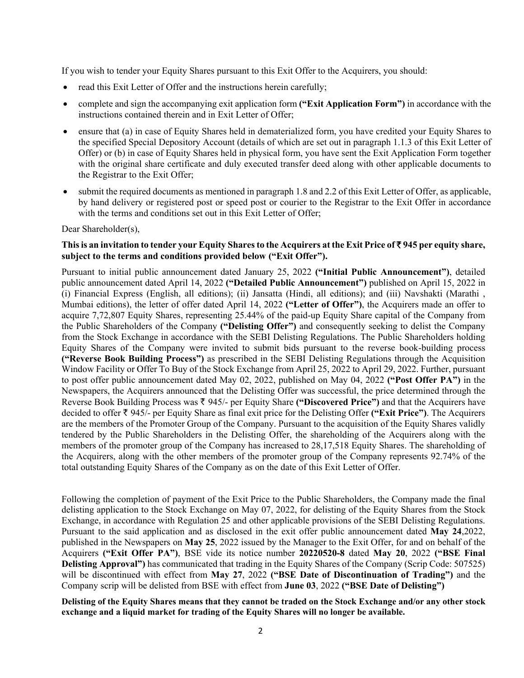If you wish to tender your Equity Shares pursuant to this Exit Offer to the Acquirers, you should:

- read this Exit Letter of Offer and the instructions herein carefully;
- complete and sign the accompanying exit application form **("Exit Application Form")** in accordance with the instructions contained therein and in Exit Letter of Offer;
- ensure that (a) in case of Equity Shares held in dematerialized form, you have credited your Equity Shares to the specified Special Depository Account (details of which are set out in paragraph 1.1.3 of this Exit Letter of Offer) or (b) in case of Equity Shares held in physical form, you have sent the Exit Application Form together with the original share certificate and duly executed transfer deed along with other applicable documents to the Registrar to the Exit Offer;
- submit the required documents as mentioned in paragraph 1.8 and 2.2 of this Exit Letter of Offer, as applicable, by hand delivery or registered post or speed post or courier to the Registrar to the Exit Offer in accordance with the terms and conditions set out in this Exit Letter of Offer;

Dear Shareholder(s).

#### **This is an invitation to tender your Equity Shares to the Acquirers at the Exit Price of** ` **945 per equity share, subject to the terms and conditions provided below ("Exit Offer").**

Pursuant to initial public announcement dated January 25, 2022 **("Initial Public Announcement")**, detailed public announcement dated April 14, 2022 **("Detailed Public Announcement")** published on April 15, 2022 in (i) Financial Express (English, all editions); (ii) Jansatta (Hindi, all editions); and (iii) Navshakti (Marathi , Mumbai editions), the letter of offer dated April 14, 2022 **("Letter of Offer")**, the Acquirers made an offer to acquire 7,72,807 Equity Shares, representing 25.44% of the paid-up Equity Share capital of the Company from the Public Shareholders of the Company **("Delisting Offer")** and consequently seeking to delist the Company from the Stock Exchange in accordance with the SEBI Delisting Regulations. The Public Shareholders holding Equity Shares of the Company were invited to submit bids pursuant to the reverse book-building process **("Reverse Book Building Process")** as prescribed in the SEBI Delisting Regulations through the Acquisition Window Facility or Offer To Buy of the Stock Exchange from April 25, 2022 to April 29, 2022. Further, pursuant to post offer public announcement dated May 02, 2022, published on May 04, 2022 **("Post Offer PA")** in the Newspapers, the Acquirers announced that the Delisting Offer was successful, the price determined through the Reverse Book Building Process was  $\bar{\tau}$  945/- per Equity Share ("Discovered Price") and that the Acquirers have decided to offer ` 945/- per Equity Share as final exit price for the Delisting Offer **("Exit Price")**. The Acquirers are the members of the Promoter Group of the Company. Pursuant to the acquisition of the Equity Shares validly tendered by the Public Shareholders in the Delisting Offer, the shareholding of the Acquirers along with the members of the promoter group of the Company has increased to 28,17,518 Equity Shares. The shareholding of the Acquirers, along with the other members of the promoter group of the Company represents 92.74% of the total outstanding Equity Shares of the Company as on the date of this Exit Letter of Offer.

Following the completion of payment of the Exit Price to the Public Shareholders, the Company made the final delisting application to the Stock Exchange on May 07, 2022, for delisting of the Equity Shares from the Stock Exchange, in accordance with Regulation 25 and other applicable provisions of the SEBI Delisting Regulations. Pursuant to the said application and as disclosed in the exit offer public announcement dated **May 24**,2022, published in the Newspapers on **May 25**, 2022 issued by the Manager to the Exit Offer, for and on behalf of the Acquirers **("Exit Offer PA")**, BSE vide its notice number **20220520-8** dated **May 20**, 2022 **("BSE Final Delisting Approval")** has communicated that trading in the Equity Shares of the Company (Scrip Code: 507525) will be discontinued with effect from **May 27**, 2022 **("BSE Date of Discontinuation of Trading")** and the Company scrip will be delisted from BSE with effect from **June 03**, 2022 **("BSE Date of Delisting")**

**Delisting of the Equity Shares means that they cannot be traded on the Stock Exchange and/or any other stock exchange and a liquid market for trading of the Equity Shares will no longer be available.**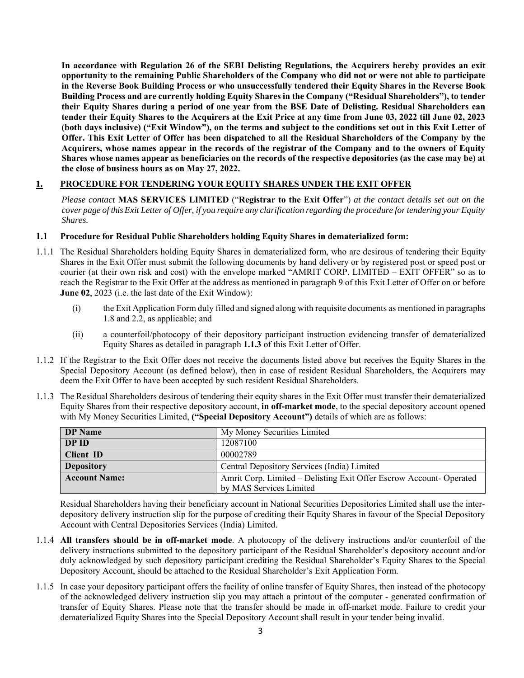**In accordance with Regulation 26 of the SEBI Delisting Regulations, the Acquirers hereby provides an exit opportunity to the remaining Public Shareholders of the Company who did not or were not able to participate in the Reverse Book Building Process or who unsuccessfully tendered their Equity Shares in the Reverse Book Building Process and are currently holding Equity Shares in the Company ("Residual Shareholders"), to tender their Equity Shares during a period of one year from the BSE Date of Delisting. Residual Shareholders can tender their Equity Shares to the Acquirers at the Exit Price at any time from June 03, 2022 till June 02, 2023 (both days inclusive) ("Exit Window"), on the terms and subject to the conditions set out in this Exit Letter of Offer. This Exit Letter of Offer has been dispatched to all the Residual Shareholders of the Company by the Acquirers, whose names appear in the records of the registrar of the Company and to the owners of Equity Shares whose names appear as beneficiaries on the records of the respective depositories (as the case may be) at the close of business hours as on May 27, 2022.** 

## **1. PROCEDURE FOR TENDERING YOUR EQUITY SHARES UNDER THE EXIT OFFER**

*Please contact* **MAS SERVICES LIMITED** ("**Registrar to the Exit Offer**") *at the contact details set out on the cover page of this Exit Letter of Offer, if you require any clarification regarding the procedure for tendering your Equity Shares.* 

#### **1.1 Procedure for Residual Public Shareholders holding Equity Shares in dematerialized form:**

- 1.1.1 The Residual Shareholders holding Equity Shares in dematerialized form, who are desirous of tendering their Equity Shares in the Exit Offer must submit the following documents by hand delivery or by registered post or speed post or courier (at their own risk and cost) with the envelope marked "AMRIT CORP. LIMITED – EXIT OFFER" so as to reach the Registrar to the Exit Offer at the address as mentioned in paragraph 9 of this Exit Letter of Offer on or before **June 02**, 2023 (i.e. the last date of the Exit Window):
	- (i) the Exit Application Form duly filled and signed along with requisite documents as mentioned in paragraphs 1.8 and 2.2, as applicable; and
	- (ii) a counterfoil/photocopy of their depository participant instruction evidencing transfer of dematerialized Equity Shares as detailed in paragraph **1.1.3** of this Exit Letter of Offer.
- 1.1.2 If the Registrar to the Exit Offer does not receive the documents listed above but receives the Equity Shares in the Special Depository Account (as defined below), then in case of resident Residual Shareholders, the Acquirers may deem the Exit Offer to have been accepted by such resident Residual Shareholders.
- 1.1.3 The Residual Shareholders desirous of tendering their equity shares in the Exit Offer must transfer their dematerialized Equity Shares from their respective depository account, **in off-market mode**, to the special depository account opened with My Money Securities Limited, **("Special Depository Account")** details of which are as follows:

| <b>DP</b> Name       | My Money Securities Limited                                        |
|----------------------|--------------------------------------------------------------------|
| DP ID                | 12087100                                                           |
| <b>Client ID</b>     | 00002789                                                           |
| <b>Depository</b>    | Central Depository Services (India) Limited                        |
| <b>Account Name:</b> | Amrit Corp. Limited – Delisting Exit Offer Escrow Account-Operated |
|                      | by MAS Services Limited                                            |

Residual Shareholders having their beneficiary account in National Securities Depositories Limited shall use the interdepository delivery instruction slip for the purpose of crediting their Equity Shares in favour of the Special Depository Account with Central Depositories Services (India) Limited.

- 1.1.4 **All transfers should be in off-market mode**. A photocopy of the delivery instructions and/or counterfoil of the delivery instructions submitted to the depository participant of the Residual Shareholder's depository account and/or duly acknowledged by such depository participant crediting the Residual Shareholder's Equity Shares to the Special Depository Account, should be attached to the Residual Shareholder's Exit Application Form.
- 1.1.5 In case your depository participant offers the facility of online transfer of Equity Shares, then instead of the photocopy of the acknowledged delivery instruction slip you may attach a printout of the computer - generated confirmation of transfer of Equity Shares. Please note that the transfer should be made in off-market mode. Failure to credit your dematerialized Equity Shares into the Special Depository Account shall result in your tender being invalid.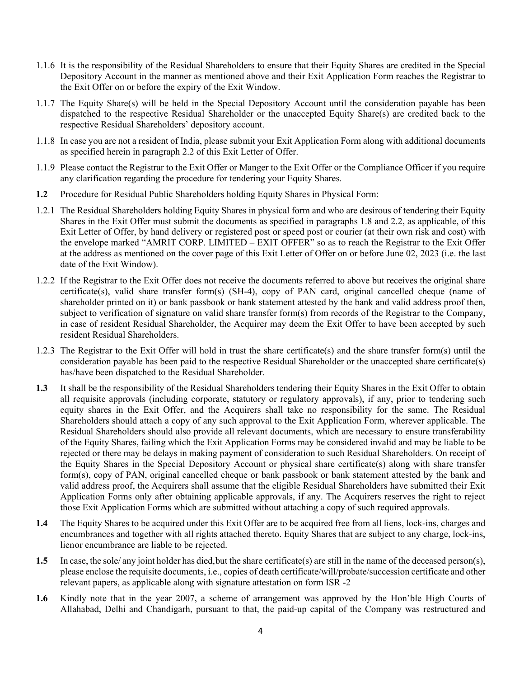- 1.1.6 It is the responsibility of the Residual Shareholders to ensure that their Equity Shares are credited in the Special Depository Account in the manner as mentioned above and their Exit Application Form reaches the Registrar to the Exit Offer on or before the expiry of the Exit Window.
- 1.1.7 The Equity Share(s) will be held in the Special Depository Account until the consideration payable has been dispatched to the respective Residual Shareholder or the unaccepted Equity Share(s) are credited back to the respective Residual Shareholders' depository account.
- 1.1.8 In case you are not a resident of India, please submit your Exit Application Form along with additional documents as specified herein in paragraph 2.2 of this Exit Letter of Offer.
- 1.1.9 Please contact the Registrar to the Exit Offer or Manger to the Exit Offer or the Compliance Officer if you require any clarification regarding the procedure for tendering your Equity Shares.
- **1.2** Procedure for Residual Public Shareholders holding Equity Shares in Physical Form:
- 1.2.1 The Residual Shareholders holding Equity Shares in physical form and who are desirous of tendering their Equity Shares in the Exit Offer must submit the documents as specified in paragraphs 1.8 and 2.2, as applicable, of this Exit Letter of Offer, by hand delivery or registered post or speed post or courier (at their own risk and cost) with the envelope marked "AMRIT CORP. LIMITED – EXIT OFFER" so as to reach the Registrar to the Exit Offer at the address as mentioned on the cover page of this Exit Letter of Offer on or before June 02, 2023 (i.e. the last date of the Exit Window).
- 1.2.2 If the Registrar to the Exit Offer does not receive the documents referred to above but receives the original share certificate(s), valid share transfer form(s) (SH-4), copy of PAN card, original cancelled cheque (name of shareholder printed on it) or bank passbook or bank statement attested by the bank and valid address proof then, subject to verification of signature on valid share transfer form(s) from records of the Registrar to the Company, in case of resident Residual Shareholder, the Acquirer may deem the Exit Offer to have been accepted by such resident Residual Shareholders.
- 1.2.3 The Registrar to the Exit Offer will hold in trust the share certificate(s) and the share transfer form(s) until the consideration payable has been paid to the respective Residual Shareholder or the unaccepted share certificate(s) has/have been dispatched to the Residual Shareholder.
- **1.3** It shall be the responsibility of the Residual Shareholders tendering their Equity Shares in the Exit Offer to obtain all requisite approvals (including corporate, statutory or regulatory approvals), if any, prior to tendering such equity shares in the Exit Offer, and the Acquirers shall take no responsibility for the same. The Residual Shareholders should attach a copy of any such approval to the Exit Application Form, wherever applicable. The Residual Shareholders should also provide all relevant documents, which are necessary to ensure transferability of the Equity Shares, failing which the Exit Application Forms may be considered invalid and may be liable to be rejected or there may be delays in making payment of consideration to such Residual Shareholders. On receipt of the Equity Shares in the Special Depository Account or physical share certificate(s) along with share transfer form(s), copy of PAN, original cancelled cheque or bank passbook or bank statement attested by the bank and valid address proof, the Acquirers shall assume that the eligible Residual Shareholders have submitted their Exit Application Forms only after obtaining applicable approvals, if any. The Acquirers reserves the right to reject those Exit Application Forms which are submitted without attaching a copy of such required approvals.
- **1.4** The Equity Shares to be acquired under this Exit Offer are to be acquired free from all liens, lock-ins, charges and encumbrances and together with all rights attached thereto. Equity Shares that are subject to any charge, lock-ins, lien or encumbrance are liable to be rejected.
- **1.5** In case, the sole/ any joint holder has died, but the share certificate(s) are still in the name of the deceased person(s), please enclose the requisite documents, i.e., copies of death certificate/will/probate/succession certificate and other relevant papers, as applicable along with signature attestation on form ISR -2
- **1.6** Kindly note that in the year 2007, a scheme of arrangement was approved by the Hon'ble High Courts of Allahabad, Delhi and Chandigarh, pursuant to that, the paid-up capital of the Company was restructured and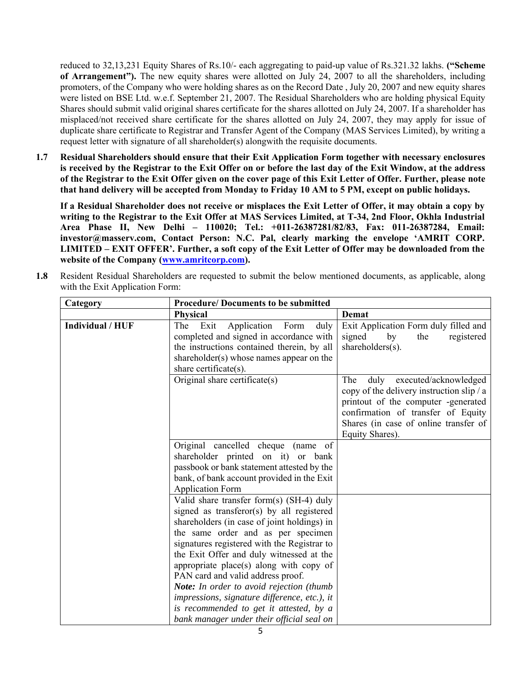reduced to 32,13,231 Equity Shares of Rs.10/- each aggregating to paid-up value of Rs.321.32 lakhs. **("Scheme of Arrangement").** The new equity shares were allotted on July 24, 2007 to all the shareholders, including promoters, of the Company who were holding shares as on the Record Date , July 20, 2007 and new equity shares were listed on BSE Ltd. w.e.f. September 21, 2007. The Residual Shareholders who are holding physical Equity Shares should submit valid original shares certificate for the shares allotted on July 24, 2007. If a shareholder has misplaced/not received share certificate for the shares allotted on July 24, 2007, they may apply for issue of duplicate share certificate to Registrar and Transfer Agent of the Company (MAS Services Limited), by writing a request letter with signature of all shareholder(s) alongwith the requisite documents.

**1.7 Residual Shareholders should ensure that their Exit Application Form together with necessary enclosures is received by the Registrar to the Exit Offer on or before the last day of the Exit Window, at the address of the Registrar to the Exit Offer given on the cover page of this Exit Letter of Offer. Further, please note that hand delivery will be accepted from Monday to Friday 10 AM to 5 PM, except on public holidays.** 

**If a Residual Shareholder does not receive or misplaces the Exit Letter of Offer, it may obtain a copy by writing to the Registrar to the Exit Offer at MAS Services Limited, at T-34, 2nd Floor, Okhla Industrial Area Phase II, New Delhi – 110020; Tel.: +011-26387281/82/83, Fax: 011-26387284, Email: investor@masserv.com, Contact Person: N.C. Pal, clearly marking the envelope 'AMRIT CORP. LIMITED – EXIT OFFER'. Further, a soft copy of the Exit Letter of Offer may be downloaded from the website of the Company (www.amritcorp.com).** 

**1.8** Resident Residual Shareholders are requested to submit the below mentioned documents, as applicable, along with the Exit Application Form:

| Category         | <b>Procedure/Documents to be submitted</b>                                                                                                                                                                                                                                                                       |                                                                                                                                                                                                                            |
|------------------|------------------------------------------------------------------------------------------------------------------------------------------------------------------------------------------------------------------------------------------------------------------------------------------------------------------|----------------------------------------------------------------------------------------------------------------------------------------------------------------------------------------------------------------------------|
|                  | <b>Physical</b>                                                                                                                                                                                                                                                                                                  | Demat                                                                                                                                                                                                                      |
| Individual / HUF | Application<br>The Exit<br>Form<br>duly<br>completed and signed in accordance with<br>the instructions contained therein, by all<br>shareholder(s) whose names appear on the<br>share certificate(s).                                                                                                            | Exit Application Form duly filled and<br>signed<br>by<br>registered<br>the<br>shareholders(s).                                                                                                                             |
|                  | Original share certificate(s)                                                                                                                                                                                                                                                                                    | The<br>executed/acknowledged<br>duly<br>copy of the delivery instruction slip / a<br>printout of the computer -generated<br>confirmation of transfer of Equity<br>Shares (in case of online transfer of<br>Equity Shares). |
|                  | Original cancelled cheque<br>(name of<br>shareholder printed on it) or bank<br>passbook or bank statement attested by the<br>bank, of bank account provided in the Exit<br><b>Application Form</b>                                                                                                               |                                                                                                                                                                                                                            |
|                  | Valid share transfer form(s) (SH-4) duly<br>signed as transferor(s) by all registered<br>shareholders (in case of joint holdings) in<br>the same order and as per specimen<br>signatures registered with the Registrar to<br>the Exit Offer and duly witnessed at the<br>appropriate place(s) along with copy of |                                                                                                                                                                                                                            |
|                  | PAN card and valid address proof.<br>Note: In order to avoid rejection (thumb<br>impressions, signature difference, etc.), it<br>is recommended to get it attested, by a<br>bank manager under their official seal on                                                                                            |                                                                                                                                                                                                                            |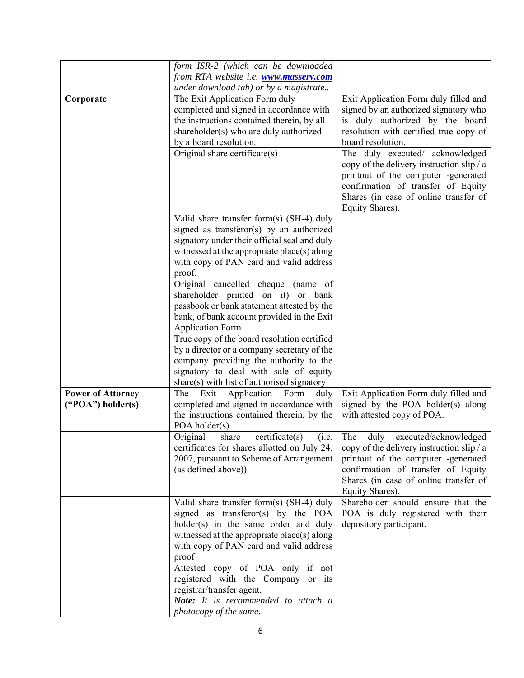|                          | form ISR-2 (which can be downloaded<br>from RTA website i.e. <b>www.masserv.com</b> |                                                                                                                                                                                                                       |
|--------------------------|-------------------------------------------------------------------------------------|-----------------------------------------------------------------------------------------------------------------------------------------------------------------------------------------------------------------------|
|                          |                                                                                     |                                                                                                                                                                                                                       |
|                          | under download tab) or by a magistrate                                              |                                                                                                                                                                                                                       |
| Corporate                | The Exit Application Form duly                                                      | Exit Application Form duly filled and                                                                                                                                                                                 |
|                          | completed and signed in accordance with                                             | signed by an authorized signatory who                                                                                                                                                                                 |
|                          | the instructions contained therein, by all                                          | is duly authorized by the board                                                                                                                                                                                       |
|                          | shareholder(s) who are duly authorized                                              | resolution with certified true copy of                                                                                                                                                                                |
|                          | by a board resolution.                                                              | board resolution.                                                                                                                                                                                                     |
|                          | Original share certificate(s)                                                       | The duly executed/ acknowledged<br>copy of the delivery instruction slip / a<br>printout of the computer -generated<br>confirmation of transfer of Equity<br>Shares (in case of online transfer of<br>Equity Shares). |
|                          |                                                                                     |                                                                                                                                                                                                                       |
|                          | Valid share transfer form(s) (SH-4) duly                                            |                                                                                                                                                                                                                       |
|                          | signed as transferor(s) by an authorized                                            |                                                                                                                                                                                                                       |
|                          | signatory under their official seal and duly                                        |                                                                                                                                                                                                                       |
|                          | witnessed at the appropriate place(s) along                                         |                                                                                                                                                                                                                       |
|                          | with copy of PAN card and valid address                                             |                                                                                                                                                                                                                       |
|                          | proof.                                                                              |                                                                                                                                                                                                                       |
|                          | Original cancelled cheque (name of<br>shareholder printed on it) or bank            |                                                                                                                                                                                                                       |
|                          |                                                                                     |                                                                                                                                                                                                                       |
|                          | passbook or bank statement attested by the                                          |                                                                                                                                                                                                                       |
|                          | bank, of bank account provided in the Exit                                          |                                                                                                                                                                                                                       |
|                          | <b>Application Form</b>                                                             |                                                                                                                                                                                                                       |
|                          | True copy of the board resolution certified                                         |                                                                                                                                                                                                                       |
|                          | by a director or a company secretary of the                                         |                                                                                                                                                                                                                       |
|                          | company providing the authority to the                                              |                                                                                                                                                                                                                       |
|                          | signatory to deal with sale of equity                                               |                                                                                                                                                                                                                       |
|                          | share(s) with list of authorised signatory.                                         |                                                                                                                                                                                                                       |
| <b>Power of Attorney</b> | Exit<br>Application<br>Form<br>The<br>duly                                          | Exit Application Form duly filled and                                                                                                                                                                                 |
| ("POA") holder(s)        | completed and signed in accordance with                                             | signed by the POA holder(s) along                                                                                                                                                                                     |
|                          | the instructions contained therein, by the                                          | with attested copy of POA.                                                                                                                                                                                            |
|                          | POA holder $(s)$                                                                    |                                                                                                                                                                                                                       |
|                          | certificate(s)<br>(i.e.<br>Original<br>share                                        | The<br>duly<br>executed/acknowledged                                                                                                                                                                                  |
|                          | certificates for shares allotted on July 24,                                        | copy of the delivery instruction slip / a                                                                                                                                                                             |
|                          | 2007, pursuant to Scheme of Arrangement                                             | printout of the computer -generated                                                                                                                                                                                   |
|                          | (as defined above))                                                                 | confirmation of transfer of Equity                                                                                                                                                                                    |
|                          |                                                                                     | Shares (in case of online transfer of                                                                                                                                                                                 |
|                          |                                                                                     | Equity Shares).                                                                                                                                                                                                       |
|                          | Valid share transfer form(s) (SH-4) duly                                            | Shareholder should ensure that the                                                                                                                                                                                    |
|                          | signed as transferor(s) by the POA                                                  | POA is duly registered with their                                                                                                                                                                                     |
|                          | holder(s) in the same order and duly                                                | depository participant.                                                                                                                                                                                               |
|                          | witnessed at the appropriate place(s) along                                         |                                                                                                                                                                                                                       |
|                          | with copy of PAN card and valid address                                             |                                                                                                                                                                                                                       |
|                          | proof                                                                               |                                                                                                                                                                                                                       |
|                          | Attested copy of POA only if not                                                    |                                                                                                                                                                                                                       |
|                          | registered with the Company or its                                                  |                                                                                                                                                                                                                       |
|                          | registrar/transfer agent.                                                           |                                                                                                                                                                                                                       |
|                          | Note: It is recommended to attach a                                                 |                                                                                                                                                                                                                       |
|                          | photocopy of the same.                                                              |                                                                                                                                                                                                                       |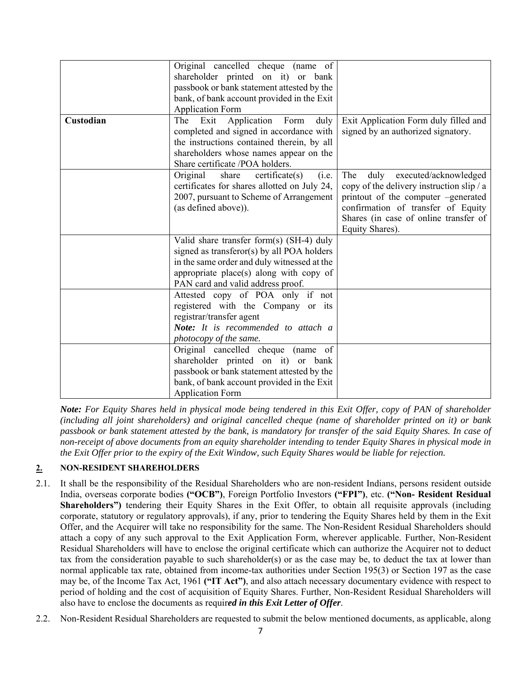|           | Original cancelled cheque (name of                 |                                           |
|-----------|----------------------------------------------------|-------------------------------------------|
|           | shareholder printed on it) or bank                 |                                           |
|           | passbook or bank statement attested by the         |                                           |
|           | bank, of bank account provided in the Exit         |                                           |
|           | <b>Application Form</b>                            |                                           |
| Custodian | Application Form<br>The Exit<br>duly               | Exit Application Form duly filled and     |
|           | completed and signed in accordance with            | signed by an authorized signatory.        |
|           | the instructions contained therein, by all         |                                           |
|           | shareholders whose names appear on the             |                                           |
|           | Share certificate /POA holders.                    |                                           |
|           | Original<br>share<br>$c$ ertificate $(s)$<br>(i.e. | duly executed/acknowledged<br>The         |
|           | certificates for shares allotted on July 24,       | copy of the delivery instruction slip / a |
|           | 2007, pursuant to Scheme of Arrangement            | printout of the computer -generated       |
|           | (as defined above)).                               | confirmation of transfer of Equity        |
|           |                                                    | Shares (in case of online transfer of     |
|           |                                                    | Equity Shares).                           |
|           | Valid share transfer form(s) (SH-4) duly           |                                           |
|           | signed as transferor(s) by all POA holders         |                                           |
|           | in the same order and duly witnessed at the        |                                           |
|           | appropriate place(s) along with copy of            |                                           |
|           | PAN card and valid address proof.                  |                                           |
|           | Attested copy of POA only if not                   |                                           |
|           | registered with the Company or its                 |                                           |
|           | registrar/transfer agent                           |                                           |
|           | Note: It is recommended to attach a                |                                           |
|           | photocopy of the same.                             |                                           |
|           | Original cancelled cheque (name of                 |                                           |
|           | shareholder printed on it) or bank                 |                                           |
|           | passbook or bank statement attested by the         |                                           |
|           | bank, of bank account provided in the Exit         |                                           |
|           | <b>Application Form</b>                            |                                           |

*Note: For Equity Shares held in physical mode being tendered in this Exit Offer, copy of PAN of shareholder (including all joint shareholders) and original cancelled cheque (name of shareholder printed on it) or bank passbook or bank statement attested by the bank, is mandatory for transfer of the said Equity Shares. In case of non-receipt of above documents from an equity shareholder intending to tender Equity Shares in physical mode in the Exit Offer prior to the expiry of the Exit Window, such Equity Shares would be liable for rejection.* 

## **2. NON-RESIDENT SHAREHOLDERS**

- 2.1. It shall be the responsibility of the Residual Shareholders who are non-resident Indians, persons resident outside India, overseas corporate bodies **("OCB")**, Foreign Portfolio Investors **("FPI")**, etc. **("Non- Resident Residual Shareholders")** tendering their Equity Shares in the Exit Offer, to obtain all requisite approvals (including corporate, statutory or regulatory approvals), if any, prior to tendering the Equity Shares held by them in the Exit Offer, and the Acquirer will take no responsibility for the same. The Non-Resident Residual Shareholders should attach a copy of any such approval to the Exit Application Form, wherever applicable. Further, Non-Resident Residual Shareholders will have to enclose the original certificate which can authorize the Acquirer not to deduct tax from the consideration payable to such shareholder(s) or as the case may be, to deduct the tax at lower than normal applicable tax rate, obtained from income-tax authorities under Section 195(3) or Section 197 as the case may be, of the Income Tax Act, 1961 **("IT Act")**, and also attach necessary documentary evidence with respect to period of holding and the cost of acquisition of Equity Shares. Further, Non-Resident Residual Shareholders will also have to enclose the documents as requir*ed in this Exit Letter of Offer*.
- 2.2. Non-Resident Residual Shareholders are requested to submit the below mentioned documents, as applicable, along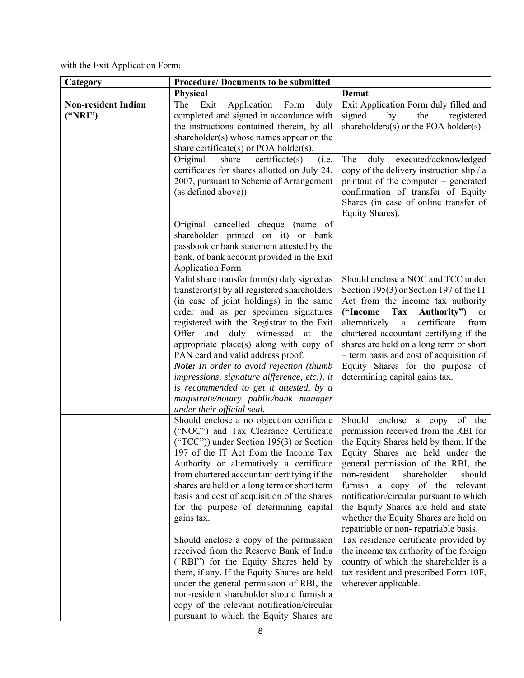with the Exit Application Form:

| Category                              | <b>Procedure/Documents to be submitted</b>                                                                                                                                                                                                                                                                                                                                                                                                                                                                                                                                   |                                                                                                                                                                                                                                                                                                                                                                                                                                          |  |
|---------------------------------------|------------------------------------------------------------------------------------------------------------------------------------------------------------------------------------------------------------------------------------------------------------------------------------------------------------------------------------------------------------------------------------------------------------------------------------------------------------------------------------------------------------------------------------------------------------------------------|------------------------------------------------------------------------------------------------------------------------------------------------------------------------------------------------------------------------------------------------------------------------------------------------------------------------------------------------------------------------------------------------------------------------------------------|--|
|                                       | Physical                                                                                                                                                                                                                                                                                                                                                                                                                                                                                                                                                                     | Demat                                                                                                                                                                                                                                                                                                                                                                                                                                    |  |
| <b>Non-resident Indian</b><br>("NRI") | The Exit<br>Application Form<br>duly<br>completed and signed in accordance with<br>the instructions contained therein, by all<br>shareholder(s) whose names appear on the<br>share certificate(s) or POA holder(s).                                                                                                                                                                                                                                                                                                                                                          | Exit Application Form duly filled and<br>signed<br>the<br>by<br>registered<br>shareholders $(s)$ or the POA holder $(s)$ .                                                                                                                                                                                                                                                                                                               |  |
|                                       | Original<br>share<br>$c$ ertificate $(s)$<br>(i.e.<br>certificates for shares allotted on July 24,<br>2007, pursuant to Scheme of Arrangement<br>(as defined above))                                                                                                                                                                                                                                                                                                                                                                                                         | The<br>duly<br>executed/acknowledged<br>copy of the delivery instruction slip / a<br>printout of the computer – generated<br>confirmation of transfer of Equity<br>Shares (in case of online transfer of<br>Equity Shares).                                                                                                                                                                                                              |  |
|                                       | Original cancelled cheque (name of<br>shareholder printed on it) or bank<br>passbook or bank statement attested by the<br>bank, of bank account provided in the Exit<br><b>Application Form</b>                                                                                                                                                                                                                                                                                                                                                                              |                                                                                                                                                                                                                                                                                                                                                                                                                                          |  |
|                                       | Valid share transfer form(s) duly signed as<br>transferor(s) by all registered shareholders<br>(in case of joint holdings) in the same<br>order and as per specimen signatures<br>registered with the Registrar to the Exit<br>Offer<br>and duly witnessed<br>at<br>the<br>appropriate place(s) along with copy of<br>PAN card and valid address proof.<br><b>Note:</b> In order to avoid rejection (thumb<br>impressions, signature difference, etc.), it<br>is recommended to get it attested, by a<br>magistrate/notary public/bank manager<br>under their official seal. | Should enclose a NOC and TCC under<br>Section 195(3) or Section 197 of the IT<br>Act from the income tax authority<br>Tax<br>("Income<br>Authority")<br>or<br>certificate<br>from<br>alternatively<br>$\rm{a}$<br>chartered accountant certifying if the<br>shares are held on a long term or short<br>- term basis and cost of acquisition of<br>Equity Shares for the purpose of<br>determining capital gains tax.                     |  |
|                                       | Should enclose a no objection certificate<br>("NOC") and Tax Clearance Certificate<br>("TCC")) under Section 195(3) or Section<br>197 of the IT Act from the Income Tax<br>Authority or alternatively a certificate<br>from chartered accountant certifying if the<br>shares are held on a long term or short term<br>basis and cost of acquisition of the shares<br>for the purpose of determining capital<br>gains tax.                                                                                                                                                    | Should enclose a copy of the<br>permission received from the RBI for<br>the Equity Shares held by them. If the<br>Equity Shares are held under the<br>general permission of the RBI, the<br>non-resident<br>shareholder<br>should<br>furnish a copy of the relevant<br>notification/circular pursuant to which<br>the Equity Shares are held and state<br>whether the Equity Shares are held on<br>repatriable or non-repatriable basis. |  |
|                                       | Should enclose a copy of the permission<br>received from the Reserve Bank of India<br>("RBI") for the Equity Shares held by<br>them, if any. If the Equity Shares are held<br>under the general permission of RBI, the<br>non-resident shareholder should furnish a<br>copy of the relevant notification/circular<br>pursuant to which the Equity Shares are                                                                                                                                                                                                                 | Tax residence certificate provided by<br>the income tax authority of the foreign<br>country of which the shareholder is a<br>tax resident and prescribed Form 10F,<br>wherever applicable.                                                                                                                                                                                                                                               |  |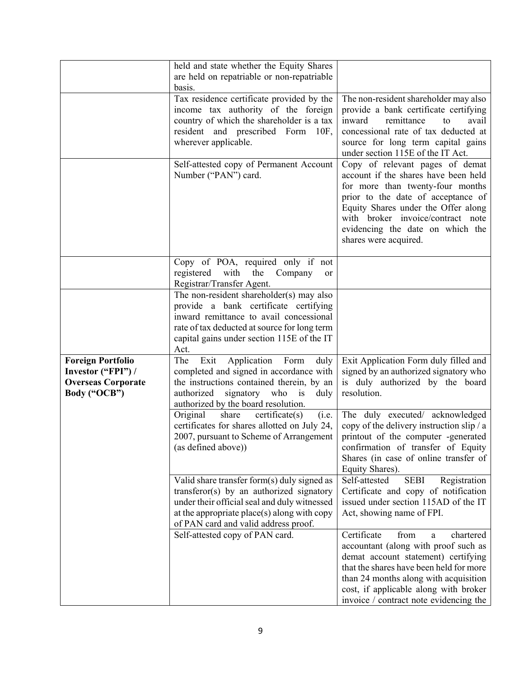|                                                                                             | held and state whether the Equity Shares<br>are held on repatriable or non-repatriable<br>basis.                                                                                                                                   |                                                                                                                                                                                                                                                                                             |
|---------------------------------------------------------------------------------------------|------------------------------------------------------------------------------------------------------------------------------------------------------------------------------------------------------------------------------------|---------------------------------------------------------------------------------------------------------------------------------------------------------------------------------------------------------------------------------------------------------------------------------------------|
|                                                                                             | Tax residence certificate provided by the<br>income tax authority of the foreign<br>country of which the shareholder is a tax<br>resident and prescribed Form 10F,<br>wherever applicable.                                         | The non-resident shareholder may also<br>provide a bank certificate certifying<br>inward<br>remittance<br>avail<br>to<br>concessional rate of tax deducted at<br>source for long term capital gains<br>under section 115E of the IT Act.                                                    |
|                                                                                             | Self-attested copy of Permanent Account<br>Number ("PAN") card.                                                                                                                                                                    | Copy of relevant pages of demat<br>account if the shares have been held<br>for more than twenty-four months<br>prior to the date of acceptance of<br>Equity Shares under the Offer along<br>with broker invoice/contract note<br>evidencing the date on which the<br>shares were acquired.  |
|                                                                                             | Copy of POA, required only if not<br>registered<br>with<br>the<br>Company<br>or<br>Registrar/Transfer Agent.                                                                                                                       |                                                                                                                                                                                                                                                                                             |
|                                                                                             | The non-resident shareholder(s) may also<br>provide a bank certificate certifying<br>inward remittance to avail concessional<br>rate of tax deducted at source for long term<br>capital gains under section 115E of the IT<br>Act. |                                                                                                                                                                                                                                                                                             |
| <b>Foreign Portfolio</b><br>Investor ("FPI") /<br><b>Overseas Corporate</b><br>Body ("OCB") | The<br>Exit<br>Application<br>Form<br>duly<br>completed and signed in accordance with<br>the instructions contained therein, by an<br>authorized<br>signatory who is<br>duly<br>authorized by the board resolution.                | Exit Application Form duly filled and<br>signed by an authorized signatory who<br>is duly authorized by the board<br>resolution.                                                                                                                                                            |
|                                                                                             | share<br>(i.e.<br>Original<br>$c$ ertificate $(s)$<br>certificates for shares allotted on July 24,<br>2007, pursuant to Scheme of Arrangement<br>(as defined above))                                                               | The duly executed/ acknowledged<br>copy of the delivery instruction slip / a<br>printout of the computer -generated<br>confirmation of transfer of Equity<br>Shares (in case of online transfer of<br>Equity Shares).                                                                       |
|                                                                                             | Valid share transfer form(s) duly signed as<br>transferor(s) by an authorized signatory<br>under their official seal and duly witnessed<br>at the appropriate place(s) along with copy<br>of PAN card and valid address proof.     | <b>SEBI</b><br>Registration<br>Self-attested<br>Certificate and copy of notification<br>issued under section 115AD of the IT<br>Act, showing name of FPI.                                                                                                                                   |
|                                                                                             | Self-attested copy of PAN card.                                                                                                                                                                                                    | Certificate<br>from<br>chartered<br>a<br>accountant (along with proof such as<br>demat account statement) certifying<br>that the shares have been held for more<br>than 24 months along with acquisition<br>cost, if applicable along with broker<br>invoice / contract note evidencing the |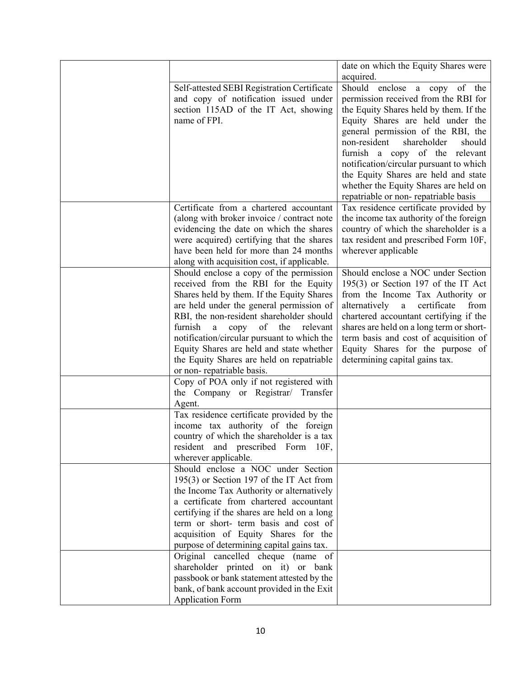|                                               | date on which the Equity Shares were                                          |
|-----------------------------------------------|-------------------------------------------------------------------------------|
|                                               | acquired.                                                                     |
| Self-attested SEBI Registration Certificate   | Should enclose a copy of the                                                  |
| and copy of notification issued under         | permission received from the RBI for                                          |
| section 115AD of the IT Act, showing          | the Equity Shares held by them. If the                                        |
| name of FPI.                                  | Equity Shares are held under the                                              |
|                                               | general permission of the RBI, the                                            |
|                                               | non-resident<br>shareholder<br>should                                         |
|                                               | furnish a copy of the relevant                                                |
|                                               | notification/circular pursuant to which                                       |
|                                               | the Equity Shares are held and state                                          |
|                                               | whether the Equity Shares are held on                                         |
| Certificate from a chartered accountant       | repatriable or non-repatriable basis<br>Tax residence certificate provided by |
| (along with broker invoice / contract note    | the income tax authority of the foreign                                       |
| evidencing the date on which the shares       | country of which the shareholder is a                                         |
| were acquired) certifying that the shares     | tax resident and prescribed Form 10F,                                         |
| have been held for more than 24 months        | wherever applicable                                                           |
| along with acquisition cost, if applicable.   |                                                                               |
| Should enclose a copy of the permission       | Should enclose a NOC under Section                                            |
| received from the RBI for the Equity          | $195(3)$ or Section 197 of the IT Act                                         |
| Shares held by them. If the Equity Shares     | from the Income Tax Authority or                                              |
| are held under the general permission of      | alternatively<br>certificate<br>$\mathbf{a}$<br>from                          |
| RBI, the non-resident shareholder should      | chartered accountant certifying if the                                        |
| furnish<br>of<br>a<br>copy<br>the<br>relevant | shares are held on a long term or short-                                      |
| notification/circular pursuant to which the   | term basis and cost of acquisition of                                         |
| Equity Shares are held and state whether      | Equity Shares for the purpose of                                              |
| the Equity Shares are held on repatriable     | determining capital gains tax.                                                |
| or non-repatriable basis.                     |                                                                               |
| Copy of POA only if not registered with       |                                                                               |
| the Company or Registrar/ Transfer            |                                                                               |
| Agent.                                        |                                                                               |
| Tax residence certificate provided by the     |                                                                               |
| income tax authority of the foreign           |                                                                               |
| country of which the shareholder is a tax     |                                                                               |
| resident and prescribed Form 10F,             |                                                                               |
| wherever applicable.                          |                                                                               |
| Should enclose a NOC under Section            |                                                                               |
| 195(3) or Section 197 of the IT Act from      |                                                                               |
| the Income Tax Authority or alternatively     |                                                                               |
| a certificate from chartered accountant       |                                                                               |
| certifying if the shares are held on a long   |                                                                               |
| term or short- term basis and cost of         |                                                                               |
| acquisition of Equity Shares for the          |                                                                               |
| purpose of determining capital gains tax.     |                                                                               |
| Original cancelled cheque (name of            |                                                                               |
| shareholder printed on it) or bank            |                                                                               |
| passbook or bank statement attested by the    |                                                                               |
| bank, of bank account provided in the Exit    |                                                                               |
| <b>Application Form</b>                       |                                                                               |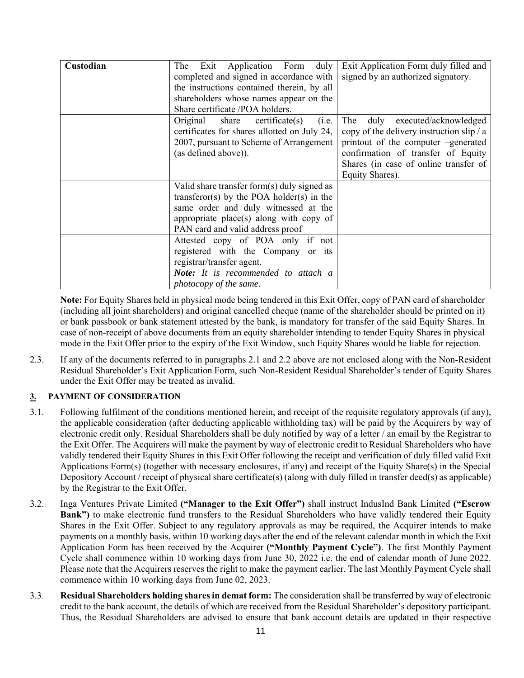| Custodian | duly<br>Application Form<br>The Exit<br>completed and signed in accordance with<br>the instructions contained therein, by all<br>shareholders whose names appear on the<br>Share certificate /POA holders.      | Exit Application Form duly filled and<br>signed by an authorized signatory.                                                                                                                                                |
|-----------|-----------------------------------------------------------------------------------------------------------------------------------------------------------------------------------------------------------------|----------------------------------------------------------------------------------------------------------------------------------------------------------------------------------------------------------------------------|
|           | Original<br>share<br>$c$ ertificate $(s)$<br>(i.e.<br>certificates for shares allotted on July 24,<br>2007, pursuant to Scheme of Arrangement<br>(as defined above)).                                           | executed/acknowledged<br>The<br>duly<br>copy of the delivery instruction slip / a<br>printout of the computer -generated<br>confirmation of transfer of Equity<br>Shares (in case of online transfer of<br>Equity Shares). |
|           | Valid share transfer form(s) duly signed as<br>transferor(s) by the POA holder(s) in the<br>same order and duly witnessed at the<br>appropriate place(s) along with copy of<br>PAN card and valid address proof |                                                                                                                                                                                                                            |
|           | Attested copy of POA only if not<br>registered with the Company or its<br>registrar/transfer agent.<br>Note: It is recommended to attach a<br>photocopy of the same.                                            |                                                                                                                                                                                                                            |

**Note:** For Equity Shares held in physical mode being tendered in this Exit Offer, copy of PAN card of shareholder (including all joint shareholders) and original cancelled cheque (name of the shareholder should be printed on it) or bank passbook or bank statement attested by the bank, is mandatory for transfer of the said Equity Shares. In case of non-receipt of above documents from an equity shareholder intending to tender Equity Shares in physical mode in the Exit Offer prior to the expiry of the Exit Window, such Equity Shares would be liable for rejection.

2.3. If any of the documents referred to in paragraphs 2.1 and 2.2 above are not enclosed along with the Non-Resident Residual Shareholder's Exit Application Form, such Non-Resident Residual Shareholder's tender of Equity Shares under the Exit Offer may be treated as invalid.

## **3. PAYMENT OF CONSIDERATION**

- 3.1. Following fulfilment of the conditions mentioned herein, and receipt of the requisite regulatory approvals (if any), the applicable consideration (after deducting applicable withholding tax) will be paid by the Acquirers by way of electronic credit only. Residual Shareholders shall be duly notified by way of a letter / an email by the Registrar to the Exit Offer. The Acquirers will make the payment by way of electronic credit to Residual Shareholders who have validly tendered their Equity Shares in this Exit Offer following the receipt and verification of duly filled valid Exit Applications Form(s) (together with necessary enclosures, if any) and receipt of the Equity Share(s) in the Special Depository Account / receipt of physical share certificate(s) (along with duly filled in transfer deed(s) as applicable) by the Registrar to the Exit Offer.
- 3.2. Inga Ventures Private Limited **("Manager to the Exit Offer")** shall instruct IndusInd Bank Limited **("Escrow Bank")** to make electronic fund transfers to the Residual Shareholders who have validly tendered their Equity Shares in the Exit Offer. Subject to any regulatory approvals as may be required, the Acquirer intends to make payments on a monthly basis, within 10 working days after the end of the relevant calendar month in which the Exit Application Form has been received by the Acquirer **("Monthly Payment Cycle")**. The first Monthly Payment Cycle shall commence within 10 working days from June 30, 2022 i.e. the end of calendar month of June 2022. Please note that the Acquirers reserves the right to make the payment earlier. The last Monthly Payment Cycle shall commence within 10 working days from June 02, 2023.
- 3.3. **Residual Shareholders holding shares in demat form:** The consideration shall be transferred by way of electronic credit to the bank account, the details of which are received from the Residual Shareholder's depository participant. Thus, the Residual Shareholders are advised to ensure that bank account details are updated in their respective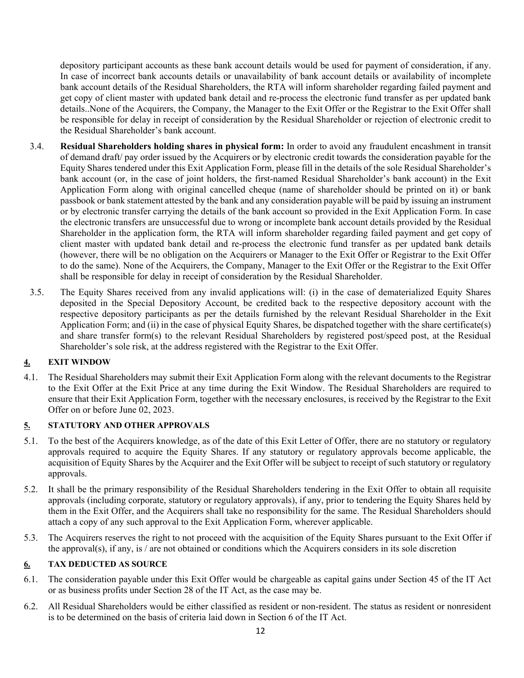depository participant accounts as these bank account details would be used for payment of consideration, if any. In case of incorrect bank accounts details or unavailability of bank account details or availability of incomplete bank account details of the Residual Shareholders, the RTA will inform shareholder regarding failed payment and get copy of client master with updated bank detail and re-process the electronic fund transfer as per updated bank details..None of the Acquirers, the Company, the Manager to the Exit Offer or the Registrar to the Exit Offer shall be responsible for delay in receipt of consideration by the Residual Shareholder or rejection of electronic credit to the Residual Shareholder's bank account.

- 3.4. **Residual Shareholders holding shares in physical form:** In order to avoid any fraudulent encashment in transit of demand draft/ pay order issued by the Acquirers or by electronic credit towards the consideration payable for the Equity Shares tendered under this Exit Application Form, please fill in the details of the sole Residual Shareholder's bank account (or, in the case of joint holders, the first-named Residual Shareholder's bank account) in the Exit Application Form along with original cancelled cheque (name of shareholder should be printed on it) or bank passbook or bank statement attested by the bank and any consideration payable will be paid by issuing an instrument or by electronic transfer carrying the details of the bank account so provided in the Exit Application Form. In case the electronic transfers are unsuccessful due to wrong or incomplete bank account details provided by the Residual Shareholder in the application form, the RTA will inform shareholder regarding failed payment and get copy of client master with updated bank detail and re-process the electronic fund transfer as per updated bank details (however, there will be no obligation on the Acquirers or Manager to the Exit Offer or Registrar to the Exit Offer to do the same). None of the Acquirers, the Company, Manager to the Exit Offer or the Registrar to the Exit Offer shall be responsible for delay in receipt of consideration by the Residual Shareholder.
- 3.5. The Equity Shares received from any invalid applications will: (i) in the case of dematerialized Equity Shares deposited in the Special Depository Account, be credited back to the respective depository account with the respective depository participants as per the details furnished by the relevant Residual Shareholder in the Exit Application Form; and (ii) in the case of physical Equity Shares, be dispatched together with the share certificate(s) and share transfer form(s) to the relevant Residual Shareholders by registered post/speed post, at the Residual Shareholder's sole risk, at the address registered with the Registrar to the Exit Offer.

## **4. EXIT WINDOW**

4.1. The Residual Shareholders may submit their Exit Application Form along with the relevant documents to the Registrar to the Exit Offer at the Exit Price at any time during the Exit Window. The Residual Shareholders are required to ensure that their Exit Application Form, together with the necessary enclosures, is received by the Registrar to the Exit Offer on or before June 02, 2023.

#### **5. STATUTORY AND OTHER APPROVALS**

- 5.1. To the best of the Acquirers knowledge, as of the date of this Exit Letter of Offer, there are no statutory or regulatory approvals required to acquire the Equity Shares. If any statutory or regulatory approvals become applicable, the acquisition of Equity Shares by the Acquirer and the Exit Offer will be subject to receipt of such statutory or regulatory approvals.
- 5.2. It shall be the primary responsibility of the Residual Shareholders tendering in the Exit Offer to obtain all requisite approvals (including corporate, statutory or regulatory approvals), if any, prior to tendering the Equity Shares held by them in the Exit Offer, and the Acquirers shall take no responsibility for the same. The Residual Shareholders should attach a copy of any such approval to the Exit Application Form, wherever applicable.
- 5.3. The Acquirers reserves the right to not proceed with the acquisition of the Equity Shares pursuant to the Exit Offer if the approval(s), if any, is / are not obtained or conditions which the Acquirers considers in its sole discretion

#### **6. TAX DEDUCTED AS SOURCE**

- 6.1. The consideration payable under this Exit Offer would be chargeable as capital gains under Section 45 of the IT Act or as business profits under Section 28 of the IT Act, as the case may be.
- 6.2. All Residual Shareholders would be either classified as resident or non-resident. The status as resident or nonresident is to be determined on the basis of criteria laid down in Section 6 of the IT Act.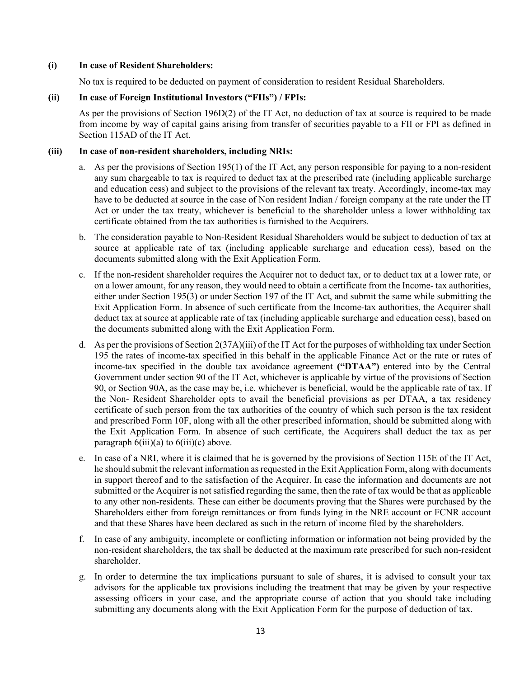#### **(i) In case of Resident Shareholders:**

No tax is required to be deducted on payment of consideration to resident Residual Shareholders.

#### **(ii) In case of Foreign Institutional Investors ("FIIs") / FPIs:**

As per the provisions of Section 196D(2) of the IT Act, no deduction of tax at source is required to be made from income by way of capital gains arising from transfer of securities payable to a FII or FPI as defined in Section 115AD of the IT Act.

#### **(iii) In case of non-resident shareholders, including NRIs:**

- a. As per the provisions of Section 195(1) of the IT Act, any person responsible for paying to a non-resident any sum chargeable to tax is required to deduct tax at the prescribed rate (including applicable surcharge and education cess) and subject to the provisions of the relevant tax treaty. Accordingly, income-tax may have to be deducted at source in the case of Non resident Indian / foreign company at the rate under the IT Act or under the tax treaty, whichever is beneficial to the shareholder unless a lower withholding tax certificate obtained from the tax authorities is furnished to the Acquirers.
- b. The consideration payable to Non-Resident Residual Shareholders would be subject to deduction of tax at source at applicable rate of tax (including applicable surcharge and education cess), based on the documents submitted along with the Exit Application Form.
- c. If the non-resident shareholder requires the Acquirer not to deduct tax, or to deduct tax at a lower rate, or on a lower amount, for any reason, they would need to obtain a certificate from the Income- tax authorities, either under Section 195(3) or under Section 197 of the IT Act, and submit the same while submitting the Exit Application Form. In absence of such certificate from the Income-tax authorities, the Acquirer shall deduct tax at source at applicable rate of tax (including applicable surcharge and education cess), based on the documents submitted along with the Exit Application Form.
- d. As per the provisions of Section 2(37A)(iii) of the IT Act for the purposes of withholding tax under Section 195 the rates of income-tax specified in this behalf in the applicable Finance Act or the rate or rates of income-tax specified in the double tax avoidance agreement **("DTAA")** entered into by the Central Government under section 90 of the IT Act, whichever is applicable by virtue of the provisions of Section 90, or Section 90A, as the case may be, i.e. whichever is beneficial, would be the applicable rate of tax. If the Non- Resident Shareholder opts to avail the beneficial provisions as per DTAA, a tax residency certificate of such person from the tax authorities of the country of which such person is the tax resident and prescribed Form 10F, along with all the other prescribed information, should be submitted along with the Exit Application Form. In absence of such certificate, the Acquirers shall deduct the tax as per paragraph  $6(iii)(a)$  to  $6(iii)(c)$  above.
- e. In case of a NRI, where it is claimed that he is governed by the provisions of Section 115E of the IT Act, he should submit the relevant information as requested in the Exit Application Form, along with documents in support thereof and to the satisfaction of the Acquirer. In case the information and documents are not submitted or the Acquirer is not satisfied regarding the same, then the rate of tax would be that as applicable to any other non-residents. These can either be documents proving that the Shares were purchased by the Shareholders either from foreign remittances or from funds lying in the NRE account or FCNR account and that these Shares have been declared as such in the return of income filed by the shareholders.
- f. In case of any ambiguity, incomplete or conflicting information or information not being provided by the non-resident shareholders, the tax shall be deducted at the maximum rate prescribed for such non-resident shareholder.
- g. In order to determine the tax implications pursuant to sale of shares, it is advised to consult your tax advisors for the applicable tax provisions including the treatment that may be given by your respective assessing officers in your case, and the appropriate course of action that you should take including submitting any documents along with the Exit Application Form for the purpose of deduction of tax.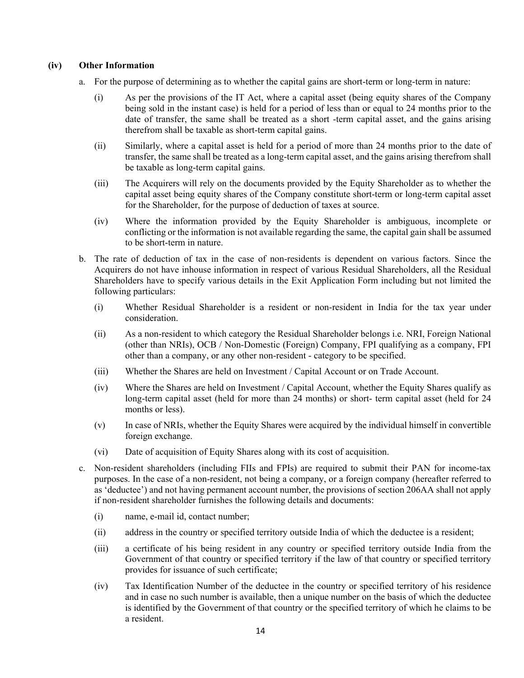#### **(iv) Other Information**

- a. For the purpose of determining as to whether the capital gains are short-term or long-term in nature:
	- (i) As per the provisions of the IT Act, where a capital asset (being equity shares of the Company being sold in the instant case) is held for a period of less than or equal to 24 months prior to the date of transfer, the same shall be treated as a short -term capital asset, and the gains arising therefrom shall be taxable as short-term capital gains.
	- (ii) Similarly, where a capital asset is held for a period of more than 24 months prior to the date of transfer, the same shall be treated as a long-term capital asset, and the gains arising therefrom shall be taxable as long-term capital gains.
	- (iii) The Acquirers will rely on the documents provided by the Equity Shareholder as to whether the capital asset being equity shares of the Company constitute short-term or long-term capital asset for the Shareholder, for the purpose of deduction of taxes at source.
	- (iv) Where the information provided by the Equity Shareholder is ambiguous, incomplete or conflicting or the information is not available regarding the same, the capital gain shall be assumed to be short-term in nature.
- b. The rate of deduction of tax in the case of non-residents is dependent on various factors. Since the Acquirers do not have inhouse information in respect of various Residual Shareholders, all the Residual Shareholders have to specify various details in the Exit Application Form including but not limited the following particulars:
	- (i) Whether Residual Shareholder is a resident or non-resident in India for the tax year under consideration.
	- (ii) As a non-resident to which category the Residual Shareholder belongs i.e. NRI, Foreign National (other than NRIs), OCB / Non-Domestic (Foreign) Company, FPI qualifying as a company, FPI other than a company, or any other non-resident - category to be specified.
	- (iii) Whether the Shares are held on Investment / Capital Account or on Trade Account.
	- (iv) Where the Shares are held on Investment / Capital Account, whether the Equity Shares qualify as long-term capital asset (held for more than 24 months) or short- term capital asset (held for 24 months or less).
	- (v) In case of NRIs, whether the Equity Shares were acquired by the individual himself in convertible foreign exchange.
	- (vi) Date of acquisition of Equity Shares along with its cost of acquisition.
- c. Non-resident shareholders (including FIIs and FPIs) are required to submit their PAN for income-tax purposes. In the case of a non-resident, not being a company, or a foreign company (hereafter referred to as 'deductee') and not having permanent account number, the provisions of section 206AA shall not apply if non-resident shareholder furnishes the following details and documents:
	- (i) name, e-mail id, contact number;
	- (ii) address in the country or specified territory outside India of which the deductee is a resident;
	- (iii) a certificate of his being resident in any country or specified territory outside India from the Government of that country or specified territory if the law of that country or specified territory provides for issuance of such certificate;
	- (iv) Tax Identification Number of the deductee in the country or specified territory of his residence and in case no such number is available, then a unique number on the basis of which the deductee is identified by the Government of that country or the specified territory of which he claims to be a resident.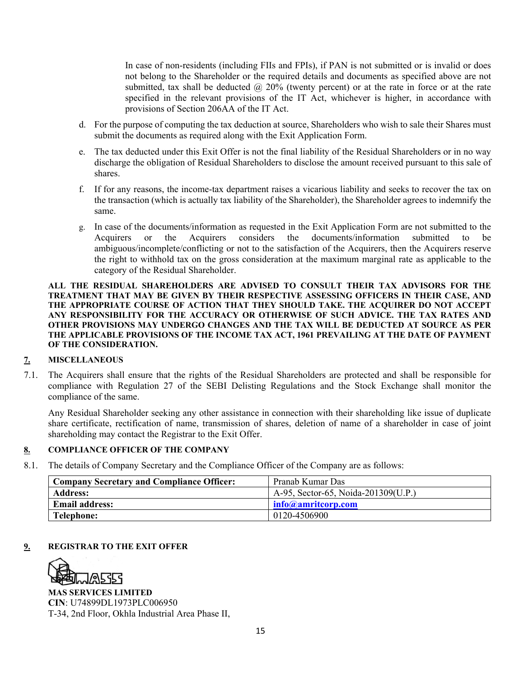In case of non-residents (including FIIs and FPIs), if PAN is not submitted or is invalid or does not belong to the Shareholder or the required details and documents as specified above are not submitted, tax shall be deducted  $\omega$  20% (twenty percent) or at the rate in force or at the rate specified in the relevant provisions of the IT Act, whichever is higher, in accordance with provisions of Section 206AA of the IT Act.

- d. For the purpose of computing the tax deduction at source, Shareholders who wish to sale their Shares must submit the documents as required along with the Exit Application Form.
- e. The tax deducted under this Exit Offer is not the final liability of the Residual Shareholders or in no way discharge the obligation of Residual Shareholders to disclose the amount received pursuant to this sale of shares.
- f. If for any reasons, the income-tax department raises a vicarious liability and seeks to recover the tax on the transaction (which is actually tax liability of the Shareholder), the Shareholder agrees to indemnify the same.
- g. In case of the documents/information as requested in the Exit Application Form are not submitted to the Acquirers or the Acquirers considers the documents/information submitted to be ambiguous/incomplete/conflicting or not to the satisfaction of the Acquirers, then the Acquirers reserve the right to withhold tax on the gross consideration at the maximum marginal rate as applicable to the category of the Residual Shareholder.

#### **ALL THE RESIDUAL SHAREHOLDERS ARE ADVISED TO CONSULT THEIR TAX ADVISORS FOR THE TREATMENT THAT MAY BE GIVEN BY THEIR RESPECTIVE ASSESSING OFFICERS IN THEIR CASE, AND THE APPROPRIATE COURSE OF ACTION THAT THEY SHOULD TAKE. THE ACQUIRER DO NOT ACCEPT ANY RESPONSIBILITY FOR THE ACCURACY OR OTHERWISE OF SUCH ADVICE. THE TAX RATES AND OTHER PROVISIONS MAY UNDERGO CHANGES AND THE TAX WILL BE DEDUCTED AT SOURCE AS PER THE APPLICABLE PROVISIONS OF THE INCOME TAX ACT, 1961 PREVAILING AT THE DATE OF PAYMENT OF THE CONSIDERATION.**

## **7. MISCELLANEOUS**

7.1. The Acquirers shall ensure that the rights of the Residual Shareholders are protected and shall be responsible for compliance with Regulation 27 of the SEBI Delisting Regulations and the Stock Exchange shall monitor the compliance of the same.

Any Residual Shareholder seeking any other assistance in connection with their shareholding like issue of duplicate share certificate, rectification of name, transmission of shares, deletion of name of a shareholder in case of joint shareholding may contact the Registrar to the Exit Offer.

## **8. COMPLIANCE OFFICER OF THE COMPANY**

8.1. The details of Company Secretary and the Compliance Officer of the Company are as follows:

| <b>Company Secretary and Compliance Officer:</b> | Pranab Kumar Das                    |
|--------------------------------------------------|-------------------------------------|
| <b>Address:</b>                                  | A-95, Sector-65, Noida-201309(U.P.) |
| <b>Email address:</b>                            | $\ln$ fo@amritcorp.com              |
| Telephone:                                       | 0120-4506900                        |

## **9. REGISTRAR TO THE EXIT OFFER**



**MAS SERVICES LIMITED CIN**: U74899DL1973PLC006950 T-34, 2nd Floor, Okhla Industrial Area Phase II,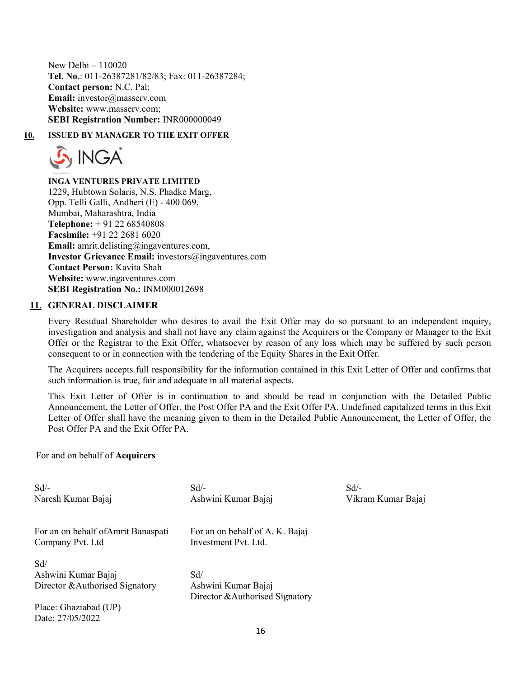New Delhi – 110020 **Tel. No.**: 011-26387281/82/83; Fax: 011-26387284; **Contact person:** N.C. Pal; **Email:** investor@masserv.com **Website:** www.masserv.com; **SEBI Registration Number:** INR000000049

**10. ISSUED BY MANAGER TO THE EXIT OFFER** 



**INGA VENTURES PRIVATE LIMITED**  1229, Hubtown Solaris, N.S. Phadke Marg, Opp. Telli Galli, Andheri (E) - 400 069, Mumbai, Maharashtra, India **Telephone:** + 91 22 68540808 **Facsimile:** +91 22 2681 6020 **Email:** amrit.delisting@ingaventures.com. **Investor Grievance Email:** investors@ingaventures.com **Contact Person:** Kavita Shah **Website:** www.ingaventures.com **SEBI Registration No.:** INM000012698

#### **11. GENERAL DISCLAIMER**

Every Residual Shareholder who desires to avail the Exit Offer may do so pursuant to an independent inquiry, investigation and analysis and shall not have any claim against the Acquirers or the Company or Manager to the Exit Offer or the Registrar to the Exit Offer, whatsoever by reason of any loss which may be suffered by such person consequent to or in connection with the tendering of the Equity Shares in the Exit Offer.

The Acquirers accepts full responsibility for the information contained in this Exit Letter of Offer and confirms that such information is true, fair and adequate in all material aspects.

This Exit Letter of Offer is in continuation to and should be read in conjunction with the Detailed Public Announcement, the Letter of Offer, the Post Offer PA and the Exit Offer PA. Undefined capitalized terms in this Exit Letter of Offer shall have the meaning given to them in the Detailed Public Announcement, the Letter of Offer, the Post Offer PA and the Exit Offer PA.

Sd/-

Vikram Kumar Bajaj

For and on behalf of **Acquirers** 

| Sd                                        | $Sd$ /-                         |
|-------------------------------------------|---------------------------------|
| Naresh Kumar Bajaj                        | Ashwini Kumar Bajaj             |
| For an on behalf of Amrit Banaspati       | For an on behalf of A. K. Bajaj |
| Company Pvt. Ltd                          | Investment Pvt. Ltd.            |
| Sd/                                       | Sd/                             |
| Ashwini Kumar Bajaj                       | Ashwini Kumar Bajaj             |
| Director & Authorised Signatory           | Director & Authorised Signatory |
| Place: Ghaziabad (UP)<br>Date: 27/05/2022 |                                 |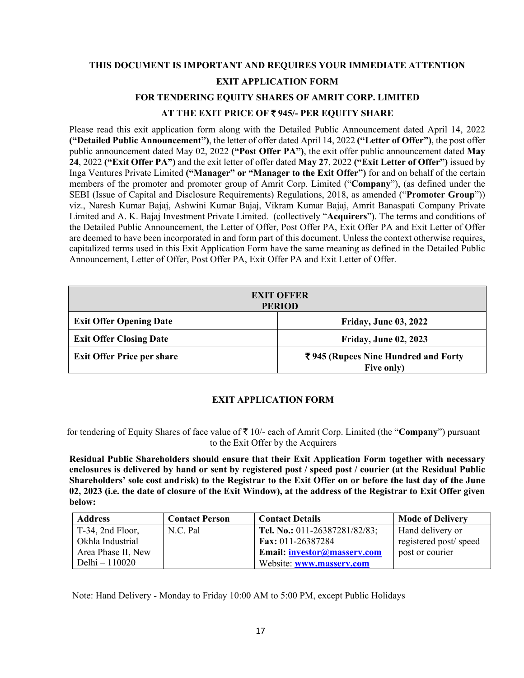# **THIS DOCUMENT IS IMPORTANT AND REQUIRES YOUR IMMEDIATE ATTENTION EXIT APPLICATION FORM**

## **FOR TENDERING EQUITY SHARES OF AMRIT CORP. LIMITED AT THE EXIT PRICE OF** ` **945/- PER EQUITY SHARE**

Please read this exit application form along with the Detailed Public Announcement dated April 14, 2022 **("Detailed Public Announcement")**, the letter of offer dated April 14, 2022 **("Letter of Offer")**, the post offer public announcement dated May 02, 2022 **("Post Offer PA")**, the exit offer public announcement dated **May 24**, 2022 **("Exit Offer PA")** and the exit letter of offer dated **May 27**, 2022 **("Exit Letter of Offer")** issued by Inga Ventures Private Limited **("Manager" or "Manager to the Exit Offer")** for and on behalf of the certain members of the promoter and promoter group of Amrit Corp. Limited ("**Company**"), (as defined under the SEBI (Issue of Capital and Disclosure Requirements) Regulations, 2018, as amended ("**Promoter Group**")) viz., Naresh Kumar Bajaj, Ashwini Kumar Bajaj, Vikram Kumar Bajaj, Amrit Banaspati Company Private Limited and A. K. Bajaj Investment Private Limited. (collectively "**Acquirers**"). The terms and conditions of the Detailed Public Announcement, the Letter of Offer, Post Offer PA, Exit Offer PA and Exit Letter of Offer are deemed to have been incorporated in and form part of this document. Unless the context otherwise requires, capitalized terms used in this Exit Application Form have the same meaning as defined in the Detailed Public Announcement, Letter of Offer, Post Offer PA, Exit Offer PA and Exit Letter of Offer.

| <b>EXIT OFFER</b><br><b>PERIOD</b> |                                                   |  |
|------------------------------------|---------------------------------------------------|--|
| <b>Exit Offer Opening Date</b>     | <b>Friday, June 03, 2022</b>                      |  |
| <b>Exit Offer Closing Date</b>     | <b>Friday, June 02, 2023</b>                      |  |
| <b>Exit Offer Price per share</b>  | ₹945 (Rupees Nine Hundred and Forty<br>Five only) |  |

## **EXIT APPLICATION FORM**

for tendering of Equity Shares of face value of ` 10/- each of Amrit Corp. Limited (the "**Company**") pursuant to the Exit Offer by the Acquirers

**Residual Public Shareholders should ensure that their Exit Application Form together with necessary enclosures is delivered by hand or sent by registered post / speed post / courier (at the Residual Public**  Shareholders' sole cost and risk) to the Registrar to the Exit Offer on or before the last day of the June **02, 2023 (i.e. the date of closure of the Exit Window), at the address of the Registrar to Exit Offer given below:** 

| <b>Address</b>      | <b>Contact Person</b> | <b>Contact Details</b>        | <b>Mode of Delivery</b> |
|---------------------|-----------------------|-------------------------------|-------------------------|
| $T-34$ , 2nd Floor, | N.C. Pal              | Tel. No.: 011-26387281/82/83; | Hand delivery or        |
| Okhla Industrial    |                       | Fax: 011-26387284             | registered post/speed   |
| Area Phase II, New  |                       | Email: investor@masserv.com   | post or courier         |
| Delhi – 110020      |                       | Website: www.masserv.com      |                         |

Note: Hand Delivery - Monday to Friday 10:00 AM to 5:00 PM, except Public Holidays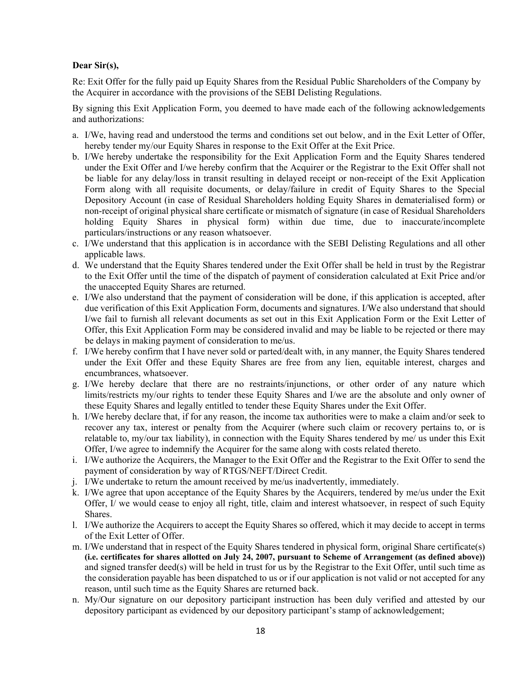## **Dear Sir(s),**

Re: Exit Offer for the fully paid up Equity Shares from the Residual Public Shareholders of the Company by the Acquirer in accordance with the provisions of the SEBI Delisting Regulations.

By signing this Exit Application Form, you deemed to have made each of the following acknowledgements and authorizations:

- a. I/We, having read and understood the terms and conditions set out below, and in the Exit Letter of Offer, hereby tender my/our Equity Shares in response to the Exit Offer at the Exit Price.
- b. I/We hereby undertake the responsibility for the Exit Application Form and the Equity Shares tendered under the Exit Offer and I/we hereby confirm that the Acquirer or the Registrar to the Exit Offer shall not be liable for any delay/loss in transit resulting in delayed receipt or non-receipt of the Exit Application Form along with all requisite documents, or delay/failure in credit of Equity Shares to the Special Depository Account (in case of Residual Shareholders holding Equity Shares in dematerialised form) or non-receipt of original physical share certificate or mismatch of signature (in case of Residual Shareholders holding Equity Shares in physical form) within due time, due to inaccurate/incomplete particulars/instructions or any reason whatsoever.
- c. I/We understand that this application is in accordance with the SEBI Delisting Regulations and all other applicable laws.
- d. We understand that the Equity Shares tendered under the Exit Offer shall be held in trust by the Registrar to the Exit Offer until the time of the dispatch of payment of consideration calculated at Exit Price and/or the unaccepted Equity Shares are returned.
- e. I/We also understand that the payment of consideration will be done, if this application is accepted, after due verification of this Exit Application Form, documents and signatures. I/We also understand that should I/we fail to furnish all relevant documents as set out in this Exit Application Form or the Exit Letter of Offer, this Exit Application Form may be considered invalid and may be liable to be rejected or there may be delays in making payment of consideration to me/us.
- f. I/We hereby confirm that I have never sold or parted/dealt with, in any manner, the Equity Shares tendered under the Exit Offer and these Equity Shares are free from any lien, equitable interest, charges and encumbrances, whatsoever.
- g. I/We hereby declare that there are no restraints/injunctions, or other order of any nature which limits/restricts my/our rights to tender these Equity Shares and I/we are the absolute and only owner of these Equity Shares and legally entitled to tender these Equity Shares under the Exit Offer.
- h. I/We hereby declare that, if for any reason, the income tax authorities were to make a claim and/or seek to recover any tax, interest or penalty from the Acquirer (where such claim or recovery pertains to, or is relatable to, my/our tax liability), in connection with the Equity Shares tendered by me/ us under this Exit Offer, I/we agree to indemnify the Acquirer for the same along with costs related thereto.
- i. I/We authorize the Acquirers, the Manager to the Exit Offer and the Registrar to the Exit Offer to send the payment of consideration by way of RTGS/NEFT/Direct Credit.
- j. I/We undertake to return the amount received by me/us inadvertently, immediately.
- k. I/We agree that upon acceptance of the Equity Shares by the Acquirers, tendered by me/us under the Exit Offer, I/ we would cease to enjoy all right, title, claim and interest whatsoever, in respect of such Equity Shares.
- l. I/We authorize the Acquirers to accept the Equity Shares so offered, which it may decide to accept in terms of the Exit Letter of Offer.
- m. I/We understand that in respect of the Equity Shares tendered in physical form, original Share certificate(s) **(i.e. certificates for shares allotted on July 24, 2007, pursuant to Scheme of Arrangement (as defined above))** and signed transfer deed(s) will be held in trust for us by the Registrar to the Exit Offer, until such time as the consideration payable has been dispatched to us or if our application is not valid or not accepted for any reason, until such time as the Equity Shares are returned back.
- n. My/Our signature on our depository participant instruction has been duly verified and attested by our depository participant as evidenced by our depository participant's stamp of acknowledgement;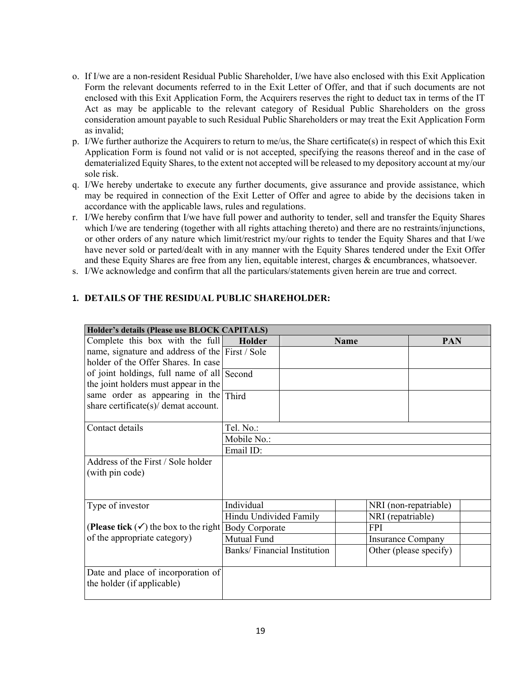- o. If I/we are a non-resident Residual Public Shareholder, I/we have also enclosed with this Exit Application Form the relevant documents referred to in the Exit Letter of Offer, and that if such documents are not enclosed with this Exit Application Form, the Acquirers reserves the right to deduct tax in terms of the IT Act as may be applicable to the relevant category of Residual Public Shareholders on the gross consideration amount payable to such Residual Public Shareholders or may treat the Exit Application Form as invalid;
- p. I/We further authorize the Acquirers to return to me/us, the Share certificate(s) in respect of which this Exit Application Form is found not valid or is not accepted, specifying the reasons thereof and in the case of dematerialized Equity Shares, to the extent not accepted will be released to my depository account at my/our sole risk.
- q. I/We hereby undertake to execute any further documents, give assurance and provide assistance, which may be required in connection of the Exit Letter of Offer and agree to abide by the decisions taken in accordance with the applicable laws, rules and regulations.
- r. I/We hereby confirm that I/we have full power and authority to tender, sell and transfer the Equity Shares which I/we are tendering (together with all rights attaching thereto) and there are no restraints/injunctions, or other orders of any nature which limit/restrict my/our rights to tender the Equity Shares and that I/we have never sold or parted/dealt with in any manner with the Equity Shares tendered under the Exit Offer and these Equity Shares are free from any lien, equitable interest, charges & encumbrances, whatsoever.
- s. I/We acknowledge and confirm that all the particulars/statements given herein are true and correct.

| Holder's details (Please use BLOCK CAPITALS)<br>Complete this box with the full <b>Holder</b> |                        |                                    | <b>Name</b> | <b>PAN</b>               |
|-----------------------------------------------------------------------------------------------|------------------------|------------------------------------|-------------|--------------------------|
| name, signature and address of the First / Sole                                               |                        |                                    |             |                          |
| holder of the Offer Shares. In case                                                           |                        |                                    |             |                          |
| of joint holdings, full name of all Second                                                    |                        |                                    |             |                          |
| the joint holders must appear in the                                                          |                        |                                    |             |                          |
| same order as appearing in the Third                                                          |                        |                                    |             |                          |
| share certificate(s)/ demat account.                                                          |                        |                                    |             |                          |
| Contact details                                                                               | Tel. No.:              |                                    |             |                          |
|                                                                                               | Mobile No.:            |                                    |             |                          |
|                                                                                               | Email ID:              |                                    |             |                          |
| Address of the First / Sole holder                                                            |                        |                                    |             |                          |
| (with pin code)                                                                               |                        |                                    |             |                          |
|                                                                                               |                        |                                    |             |                          |
|                                                                                               |                        |                                    |             |                          |
| Type of investor                                                                              | Individual             |                                    |             | NRI (non-repatriable)    |
|                                                                                               | Hindu Undivided Family |                                    |             | NRI (repatriable)        |
| (Please tick $(\checkmark)$ ) the box to the right Body Corporate                             |                        |                                    | <b>FPI</b>  |                          |
| of the appropriate category)                                                                  | Mutual Fund            |                                    |             | <b>Insurance Company</b> |
|                                                                                               |                        | <b>Banks/Financial Institution</b> |             | Other (please specify)   |
| Date and place of incorporation of<br>the holder (if applicable)                              |                        |                                    |             |                          |

#### **1. DETAILS OF THE RESIDUAL PUBLIC SHAREHOLDER:**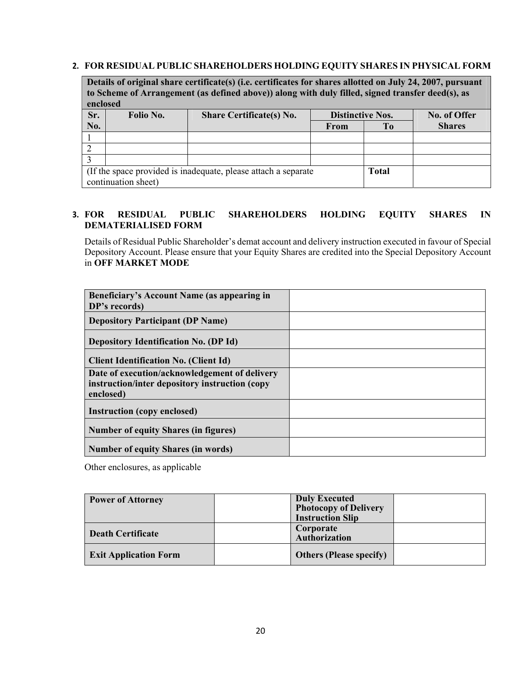#### **2. FOR RESIDUAL PUBLIC SHAREHOLDERS HOLDING EQUITY SHARES IN PHYSICAL FORM**

**Details of original share certificate(s) (i.e. certificates for shares allotted on July 24, 2007, pursuant to Scheme of Arrangement (as defined above)) along with duly filled, signed transfer deed(s), as enclosed** 

| спетоса                                                                 |                     |                                 |                         |    |               |
|-------------------------------------------------------------------------|---------------------|---------------------------------|-------------------------|----|---------------|
| Sr.                                                                     | Folio No.           | <b>Share Certificate(s) No.</b> | <b>Distinctive Nos.</b> |    | No. of Offer  |
| No.                                                                     |                     |                                 | From                    | To | <b>Shares</b> |
|                                                                         |                     |                                 |                         |    |               |
|                                                                         |                     |                                 |                         |    |               |
|                                                                         |                     |                                 |                         |    |               |
| (If the space provided is inadequate, please attach a separate<br>Total |                     |                                 |                         |    |               |
|                                                                         | continuation sheet) |                                 |                         |    |               |

## **3. FOR RESIDUAL PUBLIC SHAREHOLDERS HOLDING EQUITY SHARES IN DEMATERIALISED FORM**

Details of Residual Public Shareholder's demat account and delivery instruction executed in favour of Special Depository Account. Please ensure that your Equity Shares are credited into the Special Depository Account in **OFF MARKET MODE** 

| Beneficiary's Account Name (as appearing in                                                                  |  |
|--------------------------------------------------------------------------------------------------------------|--|
| DP's records)                                                                                                |  |
| <b>Depository Participant (DP Name)</b>                                                                      |  |
| <b>Depository Identification No. (DP Id)</b>                                                                 |  |
| <b>Client Identification No. (Client Id)</b>                                                                 |  |
| Date of execution/acknowledgement of delivery<br>instruction/inter depository instruction (copy<br>enclosed) |  |
| <b>Instruction (copy enclosed)</b>                                                                           |  |
| <b>Number of equity Shares (in figures)</b>                                                                  |  |
| <b>Number of equity Shares (in words)</b>                                                                    |  |

Other enclosures, as applicable

| <b>Power of Attorney</b>     | <b>Duly Executed</b><br><b>Photocopy of Delivery</b><br><b>Instruction Slip</b> |  |
|------------------------------|---------------------------------------------------------------------------------|--|
| <b>Death Certificate</b>     | Corporate<br><b>Authorization</b>                                               |  |
| <b>Exit Application Form</b> | <b>Others (Please specify)</b>                                                  |  |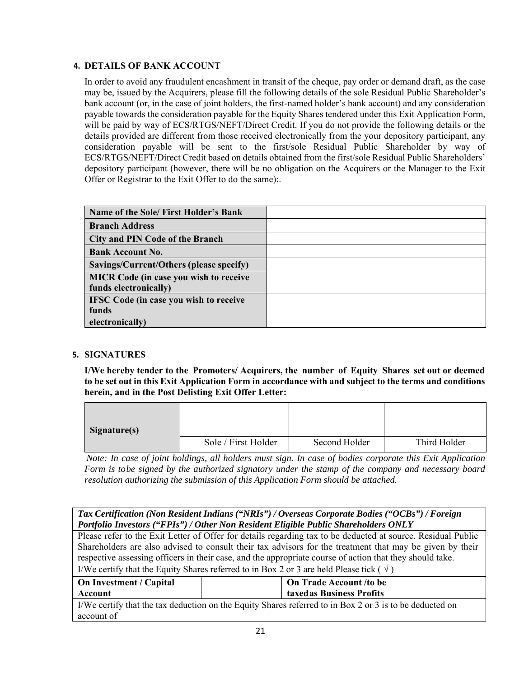## **4. DETAILS OF BANK ACCOUNT**

In order to avoid any fraudulent encashment in transit of the cheque, pay order or demand draft, as the case may be, issued by the Acquirers, please fill the following details of the sole Residual Public Shareholder's bank account (or, in the case of joint holders, the first-named holder's bank account) and any consideration payable towards the consideration payable for the Equity Shares tendered under this Exit Application Form, will be paid by way of ECS/RTGS/NEFT/Direct Credit. If you do not provide the following details or the details provided are different from those received electronically from the your depository participant, any consideration payable will be sent to the first/sole Residual Public Shareholder by way of ECS/RTGS/NEFT/Direct Credit based on details obtained from the first/sole Residual Public Shareholders' depository participant (however, there will be no obligation on the Acquirers or the Manager to the Exit Offer or Registrar to the Exit Offer to do the same):.

| Name of the Sole/ First Holder's Bank                                  |  |
|------------------------------------------------------------------------|--|
| <b>Branch Address</b>                                                  |  |
| <b>City and PIN Code of the Branch</b>                                 |  |
| <b>Bank Account No.</b>                                                |  |
| Savings/Current/Others (please specify)                                |  |
| <b>MICR Code (in case you wish to receive</b><br>funds electronically) |  |
| <b>IFSC Code (in case you wish to receive</b>                          |  |
| funds                                                                  |  |
| electronically)                                                        |  |

## **5. SIGNATURES**

**I/We hereby tender to the Promoters/ Acquirers, the number of Equity Shares set out or deemed to be set out in this Exit Application Form in accordance with and subject to the terms and conditions herein, and in the Post Delisting Exit Offer Letter:** 

| Signature(s) |                     |               |              |
|--------------|---------------------|---------------|--------------|
|              | Sole / First Holder | Second Holder | Third Holder |

*Note: In case of joint holdings, all holders must sign. In case of bodies corporate this Exit Application Form is to be signed by the authorized signatory under the stamp of the company and necessary board resolution authorizing the submission of this Application Form should be attached.* 

| Tax Certification (Non Resident Indians ("NRIs") / Overseas Corporate Bodies ("OCBs") / Foreign         |                                                                                                              |  |  |
|---------------------------------------------------------------------------------------------------------|--------------------------------------------------------------------------------------------------------------|--|--|
|                                                                                                         | Portfolio Investors ("FPIs") / Other Non Resident Eligible Public Shareholders ONLY                          |  |  |
|                                                                                                         | Please refer to the Exit Letter of Offer for details regarding tax to be deducted at source. Residual Public |  |  |
|                                                                                                         | Shareholders are also advised to consult their tax advisors for the treatment that may be given by their     |  |  |
|                                                                                                         | respective assessing officers in their case, and the appropriate course of action that they should take.     |  |  |
| I/We certify that the Equity Shares referred to in Box 2 or 3 are held Please tick ( $\sqrt{}$ )        |                                                                                                              |  |  |
| On Trade Account /to be<br>On Investment / Capital                                                      |                                                                                                              |  |  |
| taxedas Business Profits<br>Account                                                                     |                                                                                                              |  |  |
| I/We certify that the tax deduction on the Equity Shares referred to in Box 2 or 3 is to be deducted on |                                                                                                              |  |  |
| account of                                                                                              |                                                                                                              |  |  |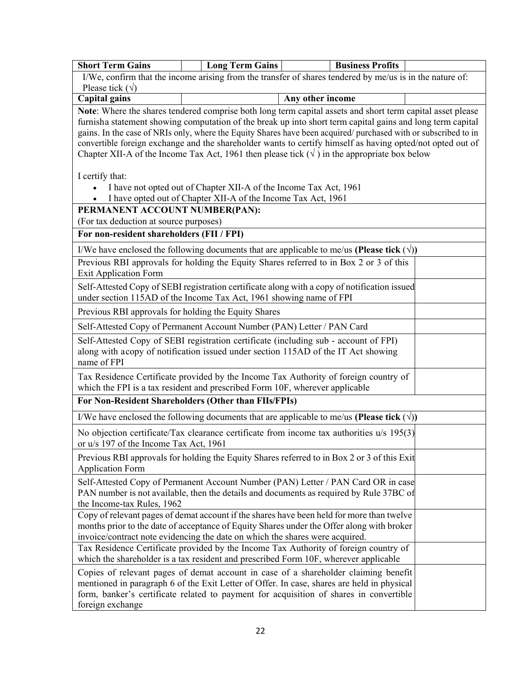| <b>Short Term Gains</b>                                                                                                                                                                                                                                                | <b>Long Term Gains</b>                                                                                                                                                    | <b>Business Profits</b>                                                                                                                                                                                                                                                     |  |  |  |
|------------------------------------------------------------------------------------------------------------------------------------------------------------------------------------------------------------------------------------------------------------------------|---------------------------------------------------------------------------------------------------------------------------------------------------------------------------|-----------------------------------------------------------------------------------------------------------------------------------------------------------------------------------------------------------------------------------------------------------------------------|--|--|--|
| I/We, confirm that the income arising from the transfer of shares tendered by me/us is in the nature of:<br>Please tick $(\sqrt)$                                                                                                                                      |                                                                                                                                                                           |                                                                                                                                                                                                                                                                             |  |  |  |
| <b>Capital gains</b>                                                                                                                                                                                                                                                   |                                                                                                                                                                           | Any other income                                                                                                                                                                                                                                                            |  |  |  |
|                                                                                                                                                                                                                                                                        |                                                                                                                                                                           | Note: Where the shares tendered comprise both long term capital assets and short term capital asset please                                                                                                                                                                  |  |  |  |
|                                                                                                                                                                                                                                                                        |                                                                                                                                                                           | furnisha statement showing computation of the break up into short term capital gains and long term capital                                                                                                                                                                  |  |  |  |
|                                                                                                                                                                                                                                                                        |                                                                                                                                                                           | gains. In the case of NRIs only, where the Equity Shares have been acquired/purchased with or subscribed to in                                                                                                                                                              |  |  |  |
|                                                                                                                                                                                                                                                                        |                                                                                                                                                                           | convertible foreign exchange and the shareholder wants to certify himself as having opted/not opted out of                                                                                                                                                                  |  |  |  |
|                                                                                                                                                                                                                                                                        |                                                                                                                                                                           | Chapter XII-A of the Income Tax Act, 1961 then please tick $(\sqrt{})$ in the appropriate box below                                                                                                                                                                         |  |  |  |
| I certify that:                                                                                                                                                                                                                                                        |                                                                                                                                                                           |                                                                                                                                                                                                                                                                             |  |  |  |
|                                                                                                                                                                                                                                                                        | I have not opted out of Chapter XII-A of the Income Tax Act, 1961                                                                                                         |                                                                                                                                                                                                                                                                             |  |  |  |
|                                                                                                                                                                                                                                                                        | I have opted out of Chapter XII-A of the Income Tax Act, 1961                                                                                                             |                                                                                                                                                                                                                                                                             |  |  |  |
| PERMANENT ACCOUNT NUMBER(PAN):                                                                                                                                                                                                                                         |                                                                                                                                                                           |                                                                                                                                                                                                                                                                             |  |  |  |
| (For tax deduction at source purposes)                                                                                                                                                                                                                                 |                                                                                                                                                                           |                                                                                                                                                                                                                                                                             |  |  |  |
| For non-resident shareholders (FII / FPI)                                                                                                                                                                                                                              |                                                                                                                                                                           |                                                                                                                                                                                                                                                                             |  |  |  |
|                                                                                                                                                                                                                                                                        |                                                                                                                                                                           | I/We have enclosed the following documents that are applicable to me/us (Please tick $(\forall)$ )                                                                                                                                                                          |  |  |  |
| <b>Exit Application Form</b>                                                                                                                                                                                                                                           |                                                                                                                                                                           | Previous RBI approvals for holding the Equity Shares referred to in Box 2 or 3 of this                                                                                                                                                                                      |  |  |  |
| under section 115AD of the Income Tax Act, 1961 showing name of FPI                                                                                                                                                                                                    |                                                                                                                                                                           | Self-Attested Copy of SEBI registration certificate along with a copy of notification issued                                                                                                                                                                                |  |  |  |
| Previous RBI approvals for holding the Equity Shares                                                                                                                                                                                                                   |                                                                                                                                                                           |                                                                                                                                                                                                                                                                             |  |  |  |
| Self-Attested Copy of Permanent Account Number (PAN) Letter / PAN Card                                                                                                                                                                                                 |                                                                                                                                                                           |                                                                                                                                                                                                                                                                             |  |  |  |
| name of FPI                                                                                                                                                                                                                                                            | Self-Attested Copy of SEBI registration certificate (including sub - account of FPI)<br>along with acopy of notification issued under section 115AD of the IT Act showing |                                                                                                                                                                                                                                                                             |  |  |  |
| which the FPI is a tax resident and prescribed Form 10F, wherever applicable                                                                                                                                                                                           |                                                                                                                                                                           | Tax Residence Certificate provided by the Income Tax Authority of foreign country of                                                                                                                                                                                        |  |  |  |
| For Non-Resident Shareholders (Other than FIIs/FPIs)                                                                                                                                                                                                                   |                                                                                                                                                                           |                                                                                                                                                                                                                                                                             |  |  |  |
|                                                                                                                                                                                                                                                                        |                                                                                                                                                                           | I/We have enclosed the following documents that are applicable to me/us (Please tick $(\forall)$ )                                                                                                                                                                          |  |  |  |
| or u/s 197 of the Income Tax Act, 1961                                                                                                                                                                                                                                 |                                                                                                                                                                           | No objection certificate/Tax clearance certificate from income tax authorities u/s 195(3)                                                                                                                                                                                   |  |  |  |
| <b>Application Form</b>                                                                                                                                                                                                                                                | Previous RBI approvals for holding the Equity Shares referred to in Box 2 or 3 of this Exit                                                                               |                                                                                                                                                                                                                                                                             |  |  |  |
| Self-Attested Copy of Permanent Account Number (PAN) Letter / PAN Card OR in case<br>PAN number is not available, then the details and documents as required by Rule 37BC of<br>the Income-tax Rules, 1962                                                             |                                                                                                                                                                           |                                                                                                                                                                                                                                                                             |  |  |  |
| Copy of relevant pages of demat account if the shares have been held for more than twelve<br>months prior to the date of acceptance of Equity Shares under the Offer along with broker<br>invoice/contract note evidencing the date on which the shares were acquired. |                                                                                                                                                                           |                                                                                                                                                                                                                                                                             |  |  |  |
| Tax Residence Certificate provided by the Income Tax Authority of foreign country of<br>which the shareholder is a tax resident and prescribed Form 10F, wherever applicable                                                                                           |                                                                                                                                                                           |                                                                                                                                                                                                                                                                             |  |  |  |
| foreign exchange                                                                                                                                                                                                                                                       |                                                                                                                                                                           | Copies of relevant pages of demat account in case of a shareholder claiming benefit<br>mentioned in paragraph 6 of the Exit Letter of Offer. In case, shares are held in physical<br>form, banker's certificate related to payment for acquisition of shares in convertible |  |  |  |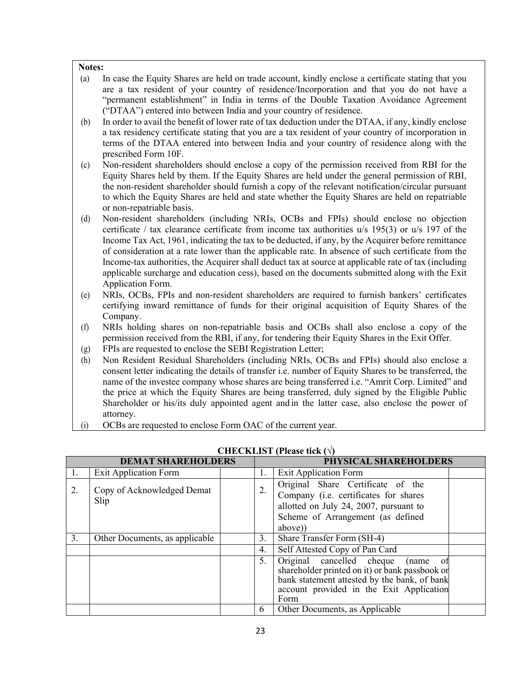#### **Notes:**

- (a) In case the Equity Shares are held on trade account, kindly enclose a certificate stating that you are a tax resident of your country of residence/Incorporation and that you do not have a "permanent establishment" in India in terms of the Double Taxation Avoidance Agreement ("DTAA") entered into between India and your country of residence.
- (b) In order to avail the benefit of lower rate of tax deduction under the DTAA, if any, kindly enclose a tax residency certificate stating that you are a tax resident of your country of incorporation in terms of the DTAA entered into between India and your country of residence along with the prescribed Form 10F.
- (c) Non-resident shareholders should enclose a copy of the permission received from RBI for the Equity Shares held by them. If the Equity Shares are held under the general permission of RBI, the non-resident shareholder should furnish a copy of the relevant notification/circular pursuant to which the Equity Shares are held and state whether the Equity Shares are held on repatriable or non-repatriable basis.
- (d) Non-resident shareholders (including NRIs, OCBs and FPIs) should enclose no objection certificate / tax clearance certificate from income tax authorities u/s 195(3) or u/s 197 of the Income Tax Act, 1961, indicating the tax to be deducted, if any, by the Acquirer before remittance of consideration at a rate lower than the applicable rate. In absence of such certificate from the Income-tax authorities, the Acquirer shall deduct tax at source at applicable rate of tax (including applicable surcharge and education cess), based on the documents submitted along with the Exit Application Form.
- (e) NRIs, OCBs, FPIs and non-resident shareholders are required to furnish bankers' certificates certifying inward remittance of funds for their original acquisition of Equity Shares of the Company.
- (f) NRIs holding shares on non-repatriable basis and OCBs shall also enclose a copy of the permission received from the RBI, if any, for tendering their Equity Shares in the Exit Offer.
- (g) FPIs are requested to enclose the SEBI Registration Letter;
- (h) Non Resident Residual Shareholders (including NRIs, OCBs and FPIs) should also enclose a consent letter indicating the details of transfer i.e. number of Equity Shares to be transferred, the name of the investee company whose shares are being transferred i.e. "Amrit Corp. Limited" and the price at which the Equity Shares are being transferred, duly signed by the Eligible Public Shareholder or his/its duly appointed agent and in the latter case, also enclose the power of attorney.
- (i) OCBs are requested to enclose Form OAC of the current year.

| <b>DEMAT SHAREHOLDERS</b> |                                    |  |                  | PHYSICAL SHAREHOLDERS                                                                                                                                                                       |  |
|---------------------------|------------------------------------|--|------------------|---------------------------------------------------------------------------------------------------------------------------------------------------------------------------------------------|--|
| 1.                        | <b>Exit Application Form</b>       |  | 1.               | <b>Exit Application Form</b>                                                                                                                                                                |  |
| 2.                        | Copy of Acknowledged Demat<br>Slip |  |                  | Original Share Certificate of the<br>Company (i.e. certificates for shares<br>allotted on July 24, 2007, pursuant to<br>Scheme of Arrangement (as defined<br>above))                        |  |
| 3 <sub>1</sub>            | Other Documents, as applicable     |  | 3.               | Share Transfer Form (SH-4)                                                                                                                                                                  |  |
|                           |                                    |  | $\overline{4}$ . | Self Attested Copy of Pan Card                                                                                                                                                              |  |
|                           |                                    |  | 5.               | Original cancelled cheque<br>(name of<br>shareholder printed on it) or bank passbook or<br>bank statement attested by the bank, of bank<br>account provided in the Exit Application<br>Form |  |
|                           |                                    |  | 6                | Other Documents, as Applicable                                                                                                                                                              |  |

#### **CHECKLIST (Please tick (√)**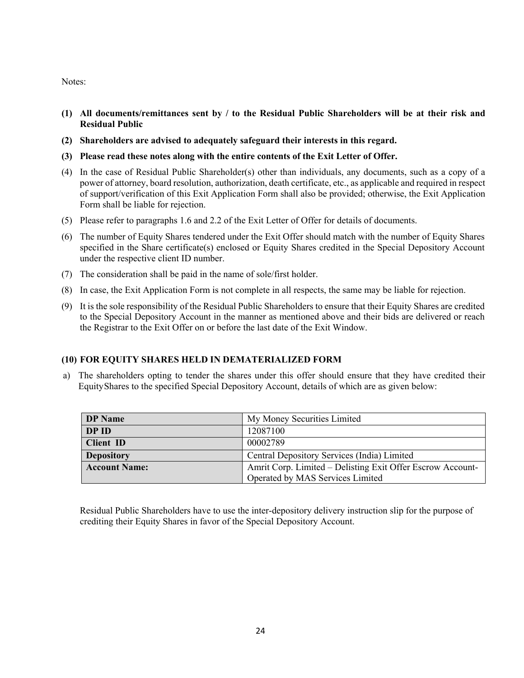Notes:

- **(1) All documents/remittances sent by / to the Residual Public Shareholders will be at their risk and Residual Public**
- **(2) Shareholders are advised to adequately safeguard their interests in this regard.**
- **(3) Please read these notes along with the entire contents of the Exit Letter of Offer.**
- (4) In the case of Residual Public Shareholder(s) other than individuals, any documents, such as a copy of a power of attorney, board resolution, authorization, death certificate, etc., as applicable and required in respect of support/verification of this Exit Application Form shall also be provided; otherwise, the Exit Application Form shall be liable for rejection.
- (5) Please refer to paragraphs 1.6 and 2.2 of the Exit Letter of Offer for details of documents.
- (6) The number of Equity Shares tendered under the Exit Offer should match with the number of Equity Shares specified in the Share certificate(s) enclosed or Equity Shares credited in the Special Depository Account under the respective client ID number.
- (7) The consideration shall be paid in the name of sole/first holder.
- (8) In case, the Exit Application Form is not complete in all respects, the same may be liable for rejection.
- (9) It is the sole responsibility of the Residual Public Shareholders to ensure that their Equity Shares are credited to the Special Depository Account in the manner as mentioned above and their bids are delivered or reach the Registrar to the Exit Offer on or before the last date of the Exit Window.

#### **(10) FOR EQUITY SHARES HELD IN DEMATERIALIZED FORM**

a) The shareholders opting to tender the shares under this offer should ensure that they have credited their Equity Shares to the specified Special Depository Account, details of which are as given below:

| <b>DP</b> Name       | My Money Securities Limited                                |
|----------------------|------------------------------------------------------------|
| DP ID                | 12087100                                                   |
| <b>Client ID</b>     | 00002789                                                   |
| <b>Depository</b>    | Central Depository Services (India) Limited                |
| <b>Account Name:</b> | Amrit Corp. Limited – Delisting Exit Offer Escrow Account- |
|                      | Operated by MAS Services Limited                           |

Residual Public Shareholders have to use the inter-depository delivery instruction slip for the purpose of crediting their Equity Shares in favor of the Special Depository Account.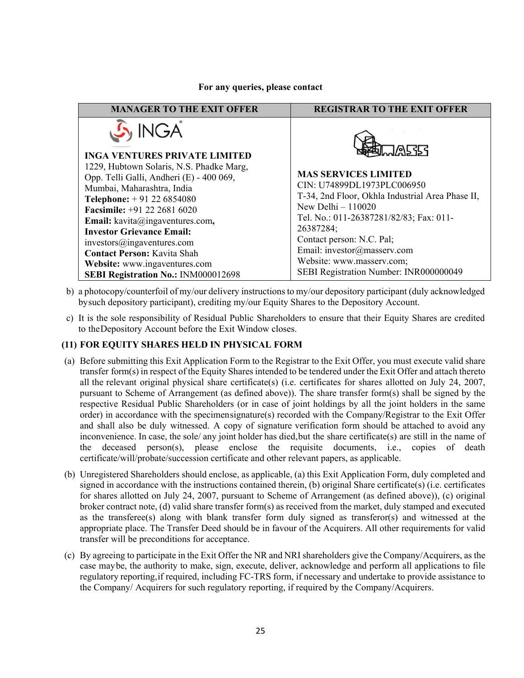#### **For any queries, please contact**

| <b>MANAGER TO THE EXIT OFFER</b>                                                                                                                                                                                                                                                                                                                                                                                  | <b>REGISTRAR TO THE EXIT OFFER</b>                                                                                                                                                                                                                                                                                              |
|-------------------------------------------------------------------------------------------------------------------------------------------------------------------------------------------------------------------------------------------------------------------------------------------------------------------------------------------------------------------------------------------------------------------|---------------------------------------------------------------------------------------------------------------------------------------------------------------------------------------------------------------------------------------------------------------------------------------------------------------------------------|
| $\mathcal{S}_1$ INGA<br><b>INGA VENTURES PRIVATE LIMITED</b>                                                                                                                                                                                                                                                                                                                                                      | 尽环                                                                                                                                                                                                                                                                                                                              |
| 1229, Hubtown Solaris, N.S. Phadke Marg,<br>Opp. Telli Galli, Andheri (E) - 400 069,<br>Mumbai, Maharashtra, India<br><b>Telephone:</b> $+91226854080$<br><b>Facsimile:</b> $+91$ 22 2681 6020<br>Email: kavita@ingaventures.com,<br><b>Investor Grievance Email:</b><br>investors@ingaventures.com<br><b>Contact Person: Kavita Shah</b><br>Website: www.ingaventures.com<br>SEBI Registration No.: INM000012698 | <b>MAS SERVICES LIMITED</b><br>CIN: U74899DL1973PLC006950<br>T-34, 2nd Floor, Okhla Industrial Area Phase II,<br>New Delhi $-110020$<br>Tel. No.: 011-26387281/82/83; Fax: 011-<br>26387284;<br>Contact person: N.C. Pal;<br>Email: investor@masserv.com<br>Website: www.masserv.com;<br>SEBI Registration Number: INR000000049 |

- b) a photocopy/counterfoil of my/our delivery instructions to my/our depository participant (duly acknowledged by such depository participant), crediting my/our Equity Shares to the Depository Account.
- c) It is the sole responsibility of Residual Public Shareholders to ensure that their Equity Shares are credited to the Depository Account before the Exit Window closes.

#### **(11) FOR EQUITY SHARES HELD IN PHYSICAL FORM**

- (a) Before submitting this Exit Application Form to the Registrar to the Exit Offer, you must execute valid share transfer form(s) in respect of the Equity Shares intended to be tendered under the Exit Offer and attach thereto all the relevant original physical share certificate(s) (i.e. certificates for shares allotted on July 24, 2007, pursuant to Scheme of Arrangement (as defined above)). The share transfer form(s) shall be signed by the respective Residual Public Shareholders (or in case of joint holdings by all the joint holders in the same order) in accordance with the specimen signature(s) recorded with the Company/Registrar to the Exit Offer and shall also be duly witnessed. A copy of signature verification form should be attached to avoid any inconvenience. In case, the sole/ any joint holder has died, but the share certificate(s) are still in the name of the deceased person(s), please enclose the requisite documents, i.e., copies of death certificate/will/probate/succession certificate and other relevant papers, as applicable.
- (b) Unregistered Shareholders should enclose, as applicable, (a) this Exit Application Form, duly completed and signed in accordance with the instructions contained therein, (b) original Share certificate(s) (i.e. certificates for shares allotted on July 24, 2007, pursuant to Scheme of Arrangement (as defined above)), (c) original broker contract note, (d) valid share transfer form(s) as received from the market, duly stamped and executed as the transferee(s) along with blank transfer form duly signed as transferor(s) and witnessed at the appropriate place. The Transfer Deed should be in favour of the Acquirers. All other requirements for valid transfer will be preconditions for acceptance.
- (c) By agreeing to participate in the Exit Offer the NR and NRI shareholders give the Company/Acquirers, as the case may be, the authority to make, sign, execute, deliver, acknowledge and perform all applications to file regulatory reporting, if required, including FC-TRS form, if necessary and undertake to provide assistance to the Company/ Acquirers for such regulatory reporting, if required by the Company/Acquirers.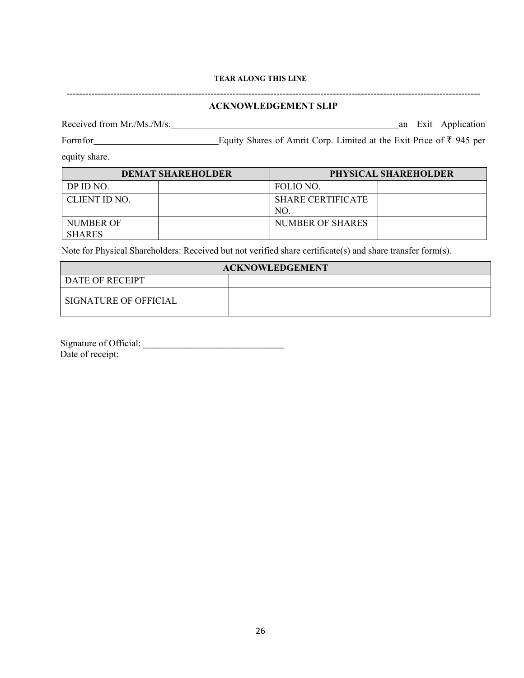#### **TEAR ALONG THIS LINE**

|                             | <b>ACKNOWLEDGEMENT SLIP</b>                                         |                     |
|-----------------------------|---------------------------------------------------------------------|---------------------|
| Received from $Mr.Ms.M/s$ . |                                                                     | an Exit Application |
| Form for                    | Equity Shares of Amrit Corp. Limited at the Exit Price of ₹ 945 per |                     |
| equity share.               |                                                                     |                     |
| DEMAT SHAREHOL DER          | PHYSICAL SHAREHOLDER                                                |                     |

| <b>DEMAT SHAREHOLDER</b> |  | PHYSICAL SHAREHOLDER |                          |  |  |
|--------------------------|--|----------------------|--------------------------|--|--|
| DP ID NO.                |  | FOLIO NO.            |                          |  |  |
| CLIENT ID NO.            |  |                      | <b>SHARE CERTIFICATE</b> |  |  |
|                          |  | NO.                  |                          |  |  |
| NUMBER OF                |  | NUMBER OF SHARES     |                          |  |  |
| <b>SHARES</b>            |  |                      |                          |  |  |

Note for Physical Shareholders: Received but not verified share certificate(s) and share transfer form(s).

| <b>ACKNOWLEDGEMENT</b> |  |  |  |  |
|------------------------|--|--|--|--|
| DATE OF RECEIPT        |  |  |  |  |
| SIGNATURE OF OFFICIAL  |  |  |  |  |

Signature of Official: Date of receipt: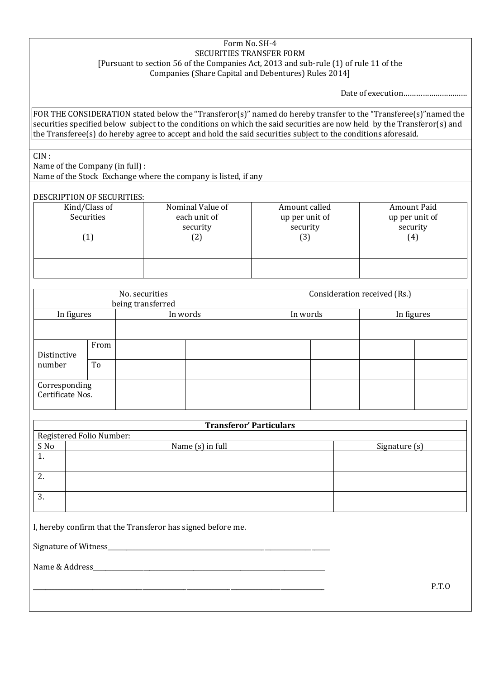#### Form No. SH-4 SECURITIES TRANSFER FORM [Pursuant to section 56 of the Companies Act, 2013 and sub-rule (1) of rule 11 of the Companies (Share Capital and Debentures) Rules 2014]

Date of execution…………………………

FOR THE CONSIDERATION stated below the "Transferor(s)" named do hereby transfer to the "Transferee(s)"named the securities specified below subject to the conditions on which the said securities are now held by the Transferor(s) and the Transferee(s) do hereby agree to accept and hold the said securities subject to the conditions aforesaid.

CIN :

Name of the Company (in full) : Name of the Stock Exchange where the company is listed, if any

## DESCRIPTION OF SECURITIES:

| Kind/Class of | Nominal Value of | Amount called  | Amount Paid    |
|---------------|------------------|----------------|----------------|
| Securities    | each unit of     | up per unit of | up per unit of |
| security      |                  | security       | security       |
| 〔2〕           |                  | (3)            | (4)            |
|               |                  |                |                |

| No. securities<br>being transferred |      |          | Consideration received (Rs.) |          |  |            |  |
|-------------------------------------|------|----------|------------------------------|----------|--|------------|--|
| In figures                          |      | In words |                              | In words |  | In figures |  |
|                                     |      |          |                              |          |  |            |  |
| Distinctive                         | From |          |                              |          |  |            |  |
| number                              | To   |          |                              |          |  |            |  |
| Corresponding<br>Certificate Nos.   |      |          |                              |          |  |            |  |

| <b>Transferor' Particulars</b> |                          |               |  |  |  |  |
|--------------------------------|--------------------------|---------------|--|--|--|--|
|                                | Registered Folio Number: |               |  |  |  |  |
| S No                           | Name (s) in full         | Signature (s) |  |  |  |  |
| ı.                             |                          |               |  |  |  |  |
|                                |                          |               |  |  |  |  |
| ົາ<br>Δ.                       |                          |               |  |  |  |  |
|                                |                          |               |  |  |  |  |
| 3.                             |                          |               |  |  |  |  |
|                                |                          |               |  |  |  |  |

I, hereby confirm that the Transferor has signed before me.

Signature of Witness

Name & Address

\_\_\_\_\_\_\_\_\_\_\_\_\_\_\_\_\_\_\_\_\_\_\_\_\_\_\_\_\_\_\_\_\_\_\_\_\_\_\_\_\_\_\_\_\_\_\_\_\_\_\_\_\_\_\_\_\_\_\_\_\_\_\_\_\_\_\_\_\_\_\_\_\_\_\_\_\_\_\_\_\_\_\_\_\_\_\_\_\_\_\_\_\_ P.T.O